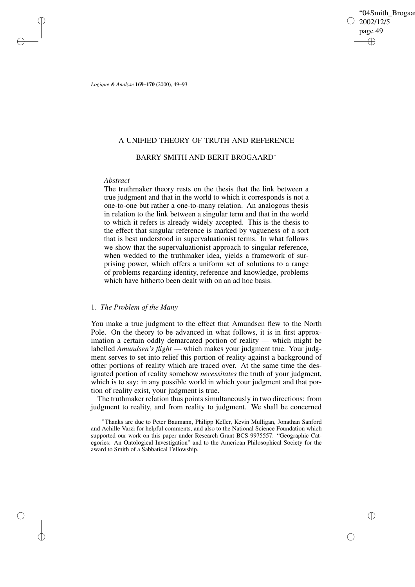'04Smith\_Brogaar 2002/12/5 page 49 ✐ ✐

✐

✐

*Logique & Analyse* **169–170** (2000), 49–93

# A UNIFIED THEORY OF TRUTH AND REFERENCE

# BARRY SMITH AND BERIT BROGAARD<sup>∗</sup>

## *Abstract*

✐

✐

✐

✐

The truthmaker theory rests on the thesis that the link between a true judgment and that in the world to which it corresponds is not a one-to-one but rather a one-to-many relation. An analogous thesis in relation to the link between a singular term and that in the world to which it refers is already widely accepted. This is the thesis to the effect that singular reference is marked by vagueness of a sort that is best understood in supervaluationist terms. In what follows we show that the supervaluationist approach to singular reference, when wedded to the truthmaker idea, yields a framework of surprising power, which offers a uniform set of solutions to a range of problems regarding identity, reference and knowledge, problems which have hitherto been dealt with on an ad hoc basis.

## 1. *The Problem of the Many*

You make a true judgment to the effect that Amundsen flew to the North Pole. On the theory to be advanced in what follows, it is in first approximation a certain oddly demarcated portion of reality — which might be labelled *Amundsen's flight* — which makes your judgment true. Your judgment serves to set into relief this portion of reality against a background of other portions of reality which are traced over. At the same time the designated portion of reality somehow *necessitates* the truth of your judgment, which is to say: in any possible world in which your judgment and that portion of reality exist, your judgment is true.

The truthmaker relation thus points simultaneously in two directions: from judgment to reality, and from reality to judgment. We shall be concerned

<sup>∗</sup>Thanks are due to Peter Baumann, Philipp Keller, Kevin Mulligan, Jonathan Sanford and Achille Varzi for helpful comments, and also to the National Science Foundation which supported our work on this paper under Research Grant BCS-9975557: "Geographic Categories: An Ontological Investigation" and to the American Philosophical Society for the award to Smith of a Sabbatical Fellowship.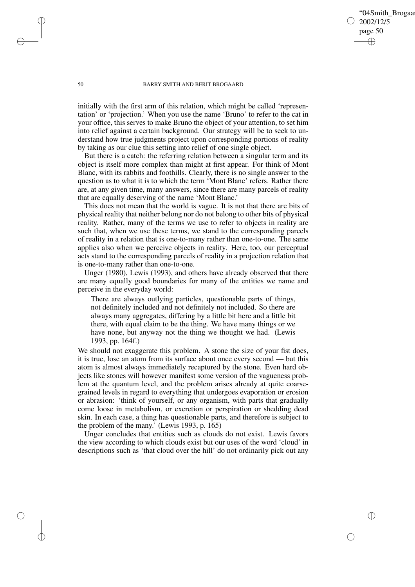'04Smith\_Brogaa 2002/12/5 page 50 ✐ ✐

✐

✐

#### 50 BARRY SMITH AND BERIT BROGAARD

initially with the first arm of this relation, which might be called 'representation' or 'projection.' When you use the name 'Bruno' to refer to the cat in your office, this serves to make Bruno the object of your attention, to set him into relief against a certain background. Our strategy will be to seek to understand how true judgments project upon corresponding portions of reality by taking as our clue this setting into relief of one single object.

But there is a catch: the referring relation between a singular term and its object is itself more complex than might at first appear. For think of Mont Blanc, with its rabbits and foothills. Clearly, there is no single answer to the question as to what it is to which the term 'Mont Blanc' refers. Rather there are, at any given time, many answers, since there are many parcels of reality that are equally deserving of the name 'Mont Blanc.'

This does not mean that the world is vague. It is not that there are bits of physical reality that neither belong nor do not belong to other bits of physical reality. Rather, many of the terms we use to refer to objects in reality are such that, when we use these terms, we stand to the corresponding parcels of reality in a relation that is one-to-many rather than one-to-one. The same applies also when we perceive objects in reality. Here, too, our perceptual acts stand to the corresponding parcels of reality in a projection relation that is one-to-many rather than one-to-one.

Unger (1980), Lewis (1993), and others have already observed that there are many equally good boundaries for many of the entities we name and perceive in the everyday world:

There are always outlying particles, questionable parts of things, not definitely included and not definitely not included. So there are always many aggregates, differing by a little bit here and a little bit there, with equal claim to be the thing. We have many things or we have none, but anyway not the thing we thought we had. (Lewis 1993, pp. 164f.)

We should not exaggerate this problem. A stone the size of your fist does, it is true, lose an atom from its surface about once every second — but this atom is almost always immediately recaptured by the stone. Even hard objects like stones will however manifest some version of the vagueness problem at the quantum level, and the problem arises already at quite coarsegrained levels in regard to everything that undergoes evaporation or erosion or abrasion: 'think of yourself, or any organism, with parts that gradually come loose in metabolism, or excretion or perspiration or shedding dead skin. In each case, a thing has questionable parts, and therefore is subject to the problem of the many.' (Lewis 1993, p. 165)

Unger concludes that entities such as clouds do not exist. Lewis favors the view according to which clouds exist but our uses of the word 'cloud' in descriptions such as 'that cloud over the hill' do not ordinarily pick out any

✐

✐

✐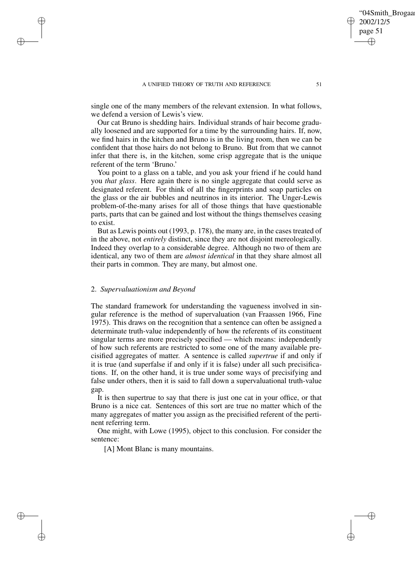single one of the many members of the relevant extension. In what follows, we defend a version of Lewis's view.

Our cat Bruno is shedding hairs. Individual strands of hair become gradually loosened and are supported for a time by the surrounding hairs. If, now, we find hairs in the kitchen and Bruno is in the living room, then we can be confident that those hairs do not belong to Bruno. But from that we cannot infer that there is, in the kitchen, some crisp aggregate that is the unique referent of the term 'Bruno.'

You point to a glass on a table, and you ask your friend if he could hand you *that glass*. Here again there is no single aggregate that could serve as designated referent. For think of all the fingerprints and soap particles on the glass or the air bubbles and neutrinos in its interior. The Unger-Lewis problem-of-the-many arises for all of those things that have questionable parts, parts that can be gained and lost without the things themselves ceasing to exist.

But as Lewis points out (1993, p. 178), the many are, in the cases treated of in the above, not *entirely* distinct, since they are not disjoint mereologically. Indeed they overlap to a considerable degree. Although no two of them are identical, any two of them are *almost identical* in that they share almost all their parts in common. They are many, but almost one.

## 2. *Supervaluationism and Beyond*

 $\rightarrow$ 

 $\rightarrow$ 

✐

✐

The standard framework for understanding the vagueness involved in singular reference is the method of supervaluation (van Fraassen 1966, Fine 1975). This draws on the recognition that a sentence can often be assigned a determinate truth-value independently of how the referents of its constituent singular terms are more precisely specified — which means: independently of how such referents are restricted to some one of the many available precisified aggregates of matter. A sentence is called *supertrue* if and only if it is true (and superfalse if and only if it is false) under all such precisifications. If, on the other hand, it is true under some ways of precisifying and false under others, then it is said to fall down a supervaluational truth-value gap.

It is then supertrue to say that there is just one cat in your office, or that Bruno is a nice cat. Sentences of this sort are true no matter which of the many aggregates of matter you assign as the precisified referent of the pertinent referring term.

One might, with Lowe (1995), object to this conclusion. For consider the sentence:

[A] Mont Blanc is many mountains.

'04Smith\_Brogaa

2002/12/5 page 51

✐

✐

✐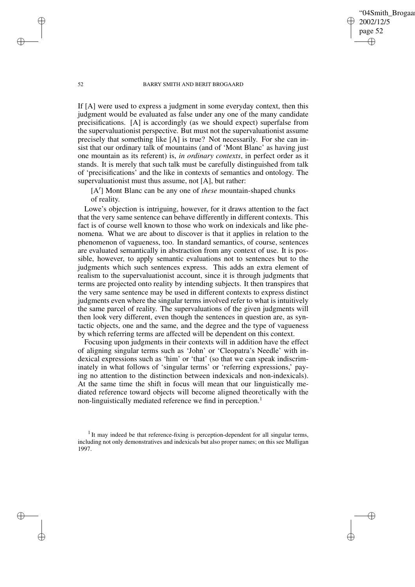'04Smith\_Brogaa 2002/12/5 page 52 ✐ ✐

✐

✐

#### 52 BARRY SMITH AND BERIT BROGAARD

If [A] were used to express a judgment in some everyday context, then this judgment would be evaluated as false under any one of the many candidate precisifications. [A] is accordingly (as we should expect) superfalse from the supervaluationist perspective. But must not the supervaluationist assume precisely that something like [A] is true? Not necessarily. For she can insist that our ordinary talk of mountains (and of 'Mont Blanc' as having just one mountain as its referent) is, *in ordinary contexts*, in perfect order as it stands. It is merely that such talk must be carefully distinguished from talk of 'precisifications' and the like in contexts of semantics and ontology. The supervaluationist must thus assume, not [A], but rather:

[A'] Mont Blanc can be any one of *these* mountain-shaped chunks of reality.

Lowe's objection is intriguing, however, for it draws attention to the fact that the very same sentence can behave differently in different contexts. This fact is of course well known to those who work on indexicals and like phenomena. What we are about to discover is that it applies in relation to the phenomenon of vagueness, too. In standard semantics, of course, sentences are evaluated semantically in abstraction from any context of use. It is possible, however, to apply semantic evaluations not to sentences but to the judgments which such sentences express. This adds an extra element of realism to the supervaluationist account, since it is through judgments that terms are projected onto reality by intending subjects. It then transpires that the very same sentence may be used in different contexts to express distinct judgments even where the singular terms involved refer to what is intuitively the same parcel of reality. The supervaluations of the given judgments will then look very different, even though the sentences in question are, as syntactic objects, one and the same, and the degree and the type of vagueness by which referring terms are affected will be dependent on this context.

Focusing upon judgments in their contexts will in addition have the effect of aligning singular terms such as 'John' or 'Cleopatra's Needle' with indexical expressions such as 'him' or 'that' (so that we can speak indiscriminately in what follows of 'singular terms' or 'referring expressions,' paying no attention to the distinction between indexicals and non-indexicals). At the same time the shift in focus will mean that our linguistically mediated reference toward objects will become aligned theoretically with the non-linguistically mediated reference we find in perception.<sup>1</sup>

 $\rightarrow$ 

 $\rightarrow$ 

✐

 $1$ It may indeed be that reference-fixing is perception-dependent for all singular terms, including not only demonstratives and indexicals but also proper names; on this see Mulligan 1997.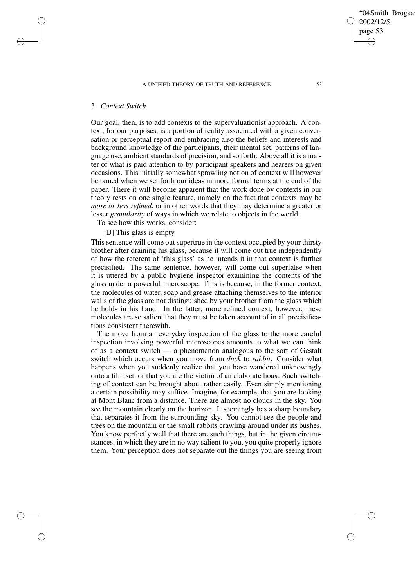$\rightarrow$ 

 $\rightarrow$ 

✐

✐

Our goal, then, is to add contexts to the supervaluationist approach. A context, for our purposes, is a portion of reality associated with a given conversation or perceptual report and embracing also the beliefs and interests and background knowledge of the participants, their mental set, patterns of language use, ambient standards of precision, and so forth. Above all it is a matter of what is paid attention to by participant speakers and hearers on given occasions. This initially somewhat sprawling notion of context will however be tamed when we set forth our ideas in more formal terms at the end of the paper. There it will become apparent that the work done by contexts in our theory rests on one single feature, namely on the fact that contexts may be *more or less refined*, or in other words that they may determine a greater or lesser *granularity* of ways in which we relate to objects in the world.

To see how this works, consider:

[B] This glass is empty.

This sentence will come out supertrue in the context occupied by your thirsty brother after draining his glass, because it will come out true independently of how the referent of 'this glass' as he intends it in that context is further precisified. The same sentence, however, will come out superfalse when it is uttered by a public hygiene inspector examining the contents of the glass under a powerful microscope. This is because, in the former context, the molecules of water, soap and grease attaching themselves to the interior walls of the glass are not distinguished by your brother from the glass which he holds in his hand. In the latter, more refined context, however, these molecules are so salient that they must be taken account of in all precisifications consistent therewith.

The move from an everyday inspection of the glass to the more careful inspection involving powerful microscopes amounts to what we can think of as a context switch — a phenomenon analogous to the sort of Gestalt switch which occurs when you move from *duck* to *rabbit*. Consider what happens when you suddenly realize that you have wandered unknowingly onto a film set, or that you are the victim of an elaborate hoax. Such switching of context can be brought about rather easily. Even simply mentioning a certain possibility may suffice. Imagine, for example, that you are looking at Mont Blanc from a distance. There are almost no clouds in the sky. You see the mountain clearly on the horizon. It seemingly has a sharp boundary that separates it from the surrounding sky. You cannot see the people and trees on the mountain or the small rabbits crawling around under its bushes. You know perfectly well that there are such things, but in the given circumstances, in which they are in no way salient to you, you quite properly ignore them. Your perception does not separate out the things you are seeing from '04Smith\_Brogaa

2002/12/5 page 53

✐

✐

✐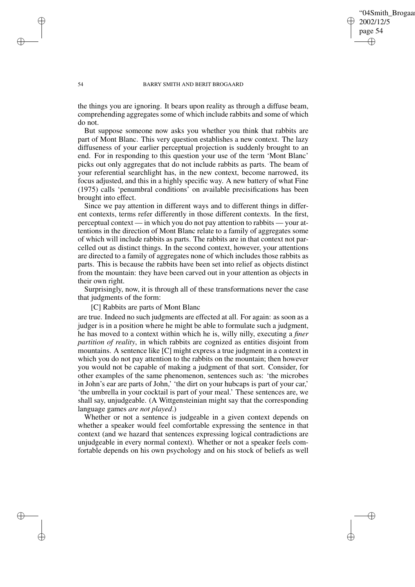## '04Smith\_Brogaa 2002/12/5 page 54 ✐ ✐

✐

✐

#### 54 BARRY SMITH AND BERIT BROGAARD

the things you are ignoring. It bears upon reality as through a diffuse beam, comprehending aggregates some of which include rabbits and some of which do not.

But suppose someone now asks you whether you think that rabbits are part of Mont Blanc. This very question establishes a new context. The lazy diffuseness of your earlier perceptual projection is suddenly brought to an end. For in responding to this question your use of the term 'Mont Blanc' picks out only aggregates that do not include rabbits as parts. The beam of your referential searchlight has, in the new context, become narrowed, its focus adjusted, and this in a highly specific way. A new battery of what Fine (1975) calls 'penumbral conditions' on available precisifications has been brought into effect.

Since we pay attention in different ways and to different things in different contexts, terms refer differently in those different contexts. In the first, perceptual context — in which you do not pay attention to rabbits — your attentions in the direction of Mont Blanc relate to a family of aggregates some of which will include rabbits as parts. The rabbits are in that context not parcelled out as distinct things. In the second context, however, your attentions are directed to a family of aggregates none of which includes those rabbits as parts. This is because the rabbits have been set into relief as objects distinct from the mountain: they have been carved out in your attention as objects in their own right.

Surprisingly, now, it is through all of these transformations never the case that judgments of the form:

## [C] Rabbits are parts of Mont Blanc

are true. Indeed no such judgments are effected at all. For again: as soon as a judger is in a position where he might be able to formulate such a judgment, he has moved to a context within which he is, willy nilly, executing a *finer partition of reality*, in which rabbits are cognized as entities disjoint from mountains. A sentence like [C] might express a true judgment in a context in which you do not pay attention to the rabbits on the mountain; then however you would not be capable of making a judgment of that sort. Consider, for other examples of the same phenomenon, sentences such as: 'the microbes in John's ear are parts of John,' 'the dirt on your hubcaps is part of your car,' 'the umbrella in your cocktail is part of your meal.' These sentences are, we shall say, unjudgeable. (A Wittgensteinian might say that the corresponding language games *are not played*.)

Whether or not a sentence is judgeable in a given context depends on whether a speaker would feel comfortable expressing the sentence in that context (and we hazard that sentences expressing logical contradictions are unjudgeable in every normal context). Whether or not a speaker feels comfortable depends on his own psychology and on his stock of beliefs as well

 $\rightarrow$ 

 $\rightarrow$ 

✐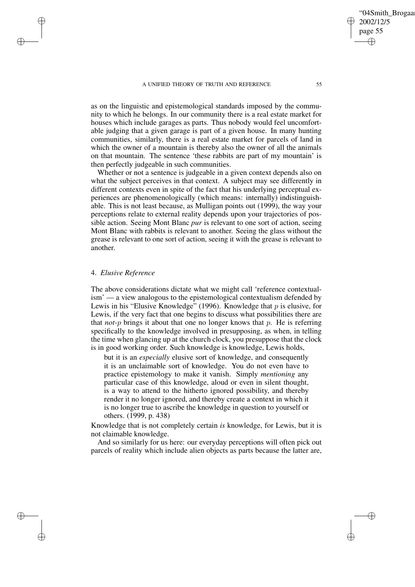as on the linguistic and epistemological standards imposed by the community to which he belongs. In our community there is a real estate market for houses which include garages as parts. Thus nobody would feel uncomfortable judging that a given garage is part of a given house. In many hunting communities, similarly, there is a real estate market for parcels of land in which the owner of a mountain is thereby also the owner of all the animals on that mountain. The sentence 'these rabbits are part of my mountain' is then perfectly judgeable in such communities.

Whether or not a sentence is judgeable in a given context depends also on what the subject perceives in that context. A subject may see differently in different contexts even in spite of the fact that his underlying perceptual experiences are phenomenologically (which means: internally) indistinguishable. This is not least because, as Mulligan points out (1999), the way your perceptions relate to external reality depends upon your trajectories of possible action. Seeing Mont Blanc *pur* is relevant to one sort of action, seeing Mont Blanc with rabbits is relevant to another. Seeing the glass without the grease is relevant to one sort of action, seeing it with the grease is relevant to another.

# 4. *Elusive Reference*

 $\rightarrow$ 

 $\rightarrow$ 

✐

✐

The above considerations dictate what we might call 'reference contextualism' — a view analogous to the epistemological contextualism defended by Lewis in his "Elusive Knowledge" (1996). Knowledge that  $p$  is elusive, for Lewis, if the very fact that one begins to discuss what possibilities there are that *not-p* brings it about that one no longer knows that  $p$ . He is referring specifically to the knowledge involved in presupposing, as when, in telling the time when glancing up at the church clock, you presuppose that the clock is in good working order. Such knowledge is knowledge, Lewis holds,

but it is an *especially* elusive sort of knowledge, and consequently it is an unclaimable sort of knowledge. You do not even have to practice epistemology to make it vanish. Simply *mentioning* any particular case of this knowledge, aloud or even in silent thought, is a way to attend to the hitherto ignored possibility, and thereby render it no longer ignored, and thereby create a context in which it is no longer true to ascribe the knowledge in question to yourself or others. (1999, p. 438)

Knowledge that is not completely certain *is* knowledge, for Lewis, but it is not claimable knowledge.

And so similarly for us here: our everyday perceptions will often pick out parcels of reality which include alien objects as parts because the latter are,

'04Smith\_Brogaa

2002/12/5 page 55

✐

✐

✐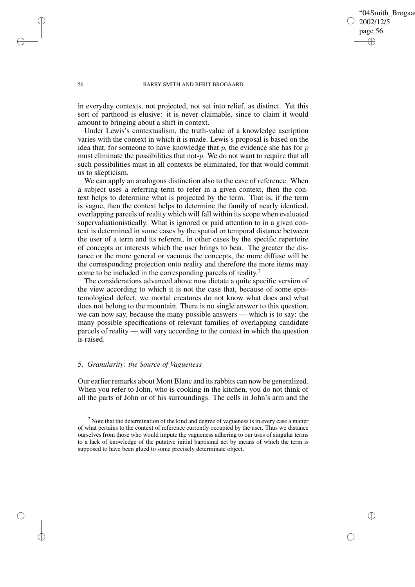'04Smith\_Brogaa 2002/12/5 page 56 ✐ ✐

✐

✐

#### 56 BARRY SMITH AND BERIT BROGAARD

in everyday contexts, not projected, not set into relief, as distinct. Yet this sort of parthood is elusive: it is never claimable, since to claim it would amount to bringing about a shift in context.

Under Lewis's contextualism, the truth-value of a knowledge ascription varies with the context in which it is made. Lewis's proposal is based on the idea that, for someone to have knowledge that  $p$ , the evidence she has for  $p$ must eliminate the possibilities that not- $p$ . We do not want to require that all such possibilities must in all contexts be eliminated, for that would commit us to skepticism.

We can apply an analogous distinction also to the case of reference. When a subject uses a referring term to refer in a given context, then the context helps to determine what is projected by the term. That is, if the term is vague, then the context helps to determine the family of nearly identical, overlapping parcels of reality which will fall within its scope when evaluated supervaluationistically. What is ignored or paid attention to in a given context is determined in some cases by the spatial or temporal distance between the user of a term and its referent, in other cases by the specific repertoire of concepts or interests which the user brings to bear. The greater the distance or the more general or vacuous the concepts, the more diffuse will be the corresponding projection onto reality and therefore the more items may come to be included in the corresponding parcels of reality. 2

The considerations advanced above now dictate a quite specific version of the view according to which it is not the case that, because of some epistemological defect, we mortal creatures do not know what does and what does not belong to the mountain. There is no single answer to this question, we can now say, because the many possible answers — which is to say: the many possible specifications of relevant families of overlapping candidate parcels of reality — will vary according to the context in which the question is raised.

# 5. *Granularity: the Source of Vagueness*

Our earlier remarks about Mont Blanc and itsrabbits can now be generalized. When you refer to John, who is cooking in the kitchen, you do not think of all the parts of John or of his surroundings. The cells in John's arm and the

 $2$  Note that the determination of the kind and degree of vagueness is in every case a matter of what pertains to the context of reference currently occupied by the user. Thus we distance ourselves from those who would impute the vagueness adhering to our uses of singular terms to a lack of knowledge of the putative initial baptismal act by means of which the term is supposed to have been glued to some precisely determinate object.

 $\rightarrow$ 

 $\rightarrow$ 

✐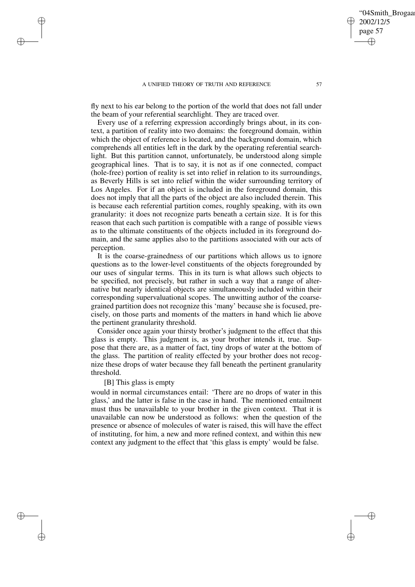fly next to his ear belong to the portion of the world that does not fall under the beam of your referential searchlight. They are traced over.

Every use of a referring expression accordingly brings about, in its context, a partition of reality into two domains: the foreground domain, within which the object of reference is located, and the background domain, which comprehends all entities left in the dark by the operating referential searchlight. But this partition cannot, unfortunately, be understood along simple geographical lines. That is to say, it is not as if one connected, compact (hole-free) portion of reality is set into relief in relation to its surroundings, as Beverly Hills is set into relief within the wider surrounding territory of Los Angeles. For if an object is included in the foreground domain, this does not imply that all the parts of the object are also included therein. This is because each referential partition comes, roughly speaking, with its own granularity: it does not recognize parts beneath a certain size. It is for this reason that each such partition is compatible with a range of possible views as to the ultimate constituents of the objects included in its foreground domain, and the same applies also to the partitions associated with our acts of perception.

It is the coarse-grainedness of our partitions which allows us to ignore questions as to the lower-level constituents of the objects foregrounded by our uses of singular terms. This in its turn is what allows such objects to be specified, not precisely, but rather in such a way that a range of alternative but nearly identical objects are simultaneously included within their corresponding supervaluational scopes. The unwitting author of the coarsegrained partition does not recognize this 'many' because she is focused, precisely, on those parts and moments of the matters in hand which lie above the pertinent granularity threshold.

Consider once again your thirsty brother's judgment to the effect that this glass is empty. This judgment is, as your brother intends it, true. Suppose that there are, as a matter of fact, tiny drops of water at the bottom of the glass. The partition of reality effected by your brother does not recognize these drops of water because they fall beneath the pertinent granularity threshold.

## [B] This glass is empty

 $\rightarrow$ 

 $\rightarrow$ 

✐

✐

would in normal circumstances entail: 'There are no drops of water in this glass,' and the latter is false in the case in hand. The mentioned entailment must thus be unavailable to your brother in the given context. That it is unavailable can now be understood as follows: when the question of the presence or absence of molecules of water is raised, this will have the effect of instituting, for him, a new and more refined context, and within this new context any judgment to the effect that 'this glass is empty' would be false.

'04Smith\_Brogaa

2002/12/5 page 57

✐

✐

✐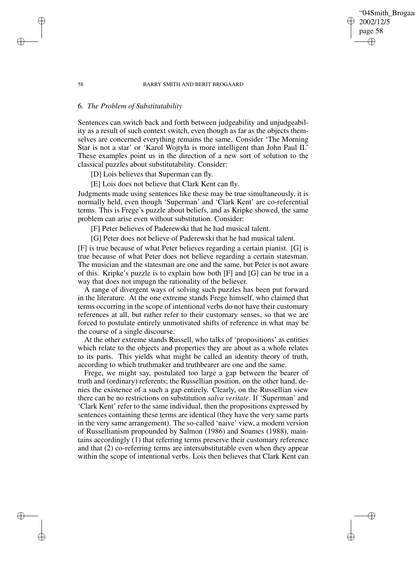#### 58 BARRY SMITH AND BERIT BROGAARD

## 6. *The Problem of Substitutability*

Sentences can switch back and forth between judgeability and unjudgeability as a result of such context switch, even though as far as the objects themselves are concerned everything remains the same. Consider 'The Morning Star is not a star' or 'Karol Wojtyła is more intelligent than John Paul II.' These examples point us in the direction of a new sort of solution to the classical puzzles about substitutability. Consider:

[D] Lois believes that Superman can fly.

[E] Lois does not believe that Clark Kent can fly.

Judgments made using sentences like these may be true simultaneously, it is normally held, even though 'Superman' and 'Clark Kent' are co-referential terms. This is Frege's puzzle about beliefs, and as Kripke showed, the same problem can arise even without substitution. Consider:

[F] Peter believes of Paderewski that he had musical talent.

[G] Peter does not believe of Paderewski that he had musical talent.

[F] is true because of what Peter believes regarding a certain pianist. [G] is true because of what Peter does not believe regarding a certain statesman. The musician and the statesman are one and the same, but Peter is not aware of this. Kripke's puzzle is to explain how both [F] and [G] can be true in a way that does not impugn the rationality of the believer.

A range of divergent ways of solving such puzzles has been put forward in the literature. At the one extreme stands Frege himself, who claimed that terms occurring in the scope of intentional verbs do not have their customary references at all, but rather refer to their customary senses, so that we are forced to postulate entirely unmotivated shifts of reference in what may be the course of a single discourse.

At the other extreme stands Russell, who talks of 'propositions' as entities which relate to the objects and properties they are about as a whole relates to its parts. This yields what might be called an identity theory of truth, according to which truthmaker and truthbearer are one and the same.

Frege, we might say, postulated too large a gap between the bearer of truth and (ordinary) referents; the Russellian position, on the other hand, denies the existence of a such a gap entirely. Clearly, on the Russellian view there can be no restrictions on substitution *salva veritate*. If 'Superman' and 'Clark Kent' refer to the same individual, then the propositions expressed by sentences containing these terms are identical (they have the very same parts in the very same arrangement). The so-called 'naive' view, a modern version of Russellianism propounded by Salmon (1986) and Soames (1988), maintains accordingly (1) that referring terms preserve their customary reference and that (2) co-referring terms are intersubstitutable even when they appear within the scope of intentional verbs. Lois then believes that Clark Kent can

✐

✐

✐

✐

## '04Smith\_Brogaar 2002/12/5 page 58 ✐ ✐

✐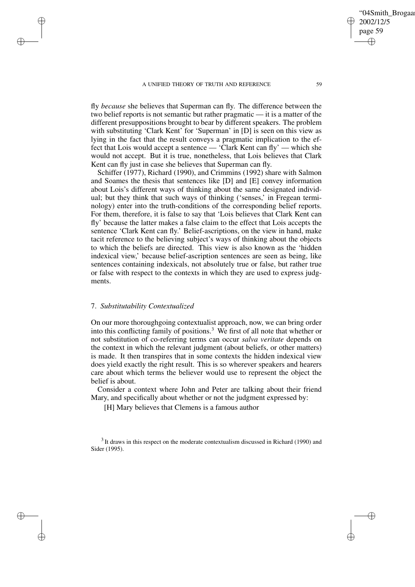fly *because* she believes that Superman can fly. The difference between the two belief reports is not semantic but rather pragmatic — it is a matter of the different presuppositions brought to bear by different speakers. The problem with substituting 'Clark Kent' for 'Superman' in [D] is seen on this view as lying in the fact that the result conveys a pragmatic implication to the effect that Lois would accept a sentence — 'Clark Kent can fly' — which she would not accept. But it is true, nonetheless, that Lois believes that Clark Kent can fly just in case she believes that Superman can fly.

Schiffer (1977), Richard (1990), and Crimmins (1992) share with Salmon and Soames the thesis that sentences like [D] and [E] convey information about Lois's different ways of thinking about the same designated individual; but they think that such ways of thinking ('senses,' in Fregean terminology) enter into the truth-conditions of the corresponding belief reports. For them, therefore, it is false to say that 'Lois believes that Clark Kent can fly' because the latter makes a false claim to the effect that Lois accepts the sentence 'Clark Kent can fly.' Belief-ascriptions, on the view in hand, make tacit reference to the believing subject's ways of thinking about the objects to which the beliefs are directed. This view is also known as the 'hidden indexical view,' because belief-ascription sentences are seen as being, like sentences containing indexicals, not absolutely true or false, but rather true or false with respect to the contexts in which they are used to express judgments.

## 7. *Substitutability Contextualized*

✐

✐

✐

✐

On our more thoroughgoing contextualist approach, now, we can bring order into this conflicting family of positions.<sup>3</sup> We first of all note that whether or not substitution of co-referring terms can occur *salva veritate* depends on the context in which the relevant judgment (about beliefs, or other matters) is made. It then transpires that in some contexts the hidden indexical view does yield exactly the right result. This is so wherever speakers and hearers care about which terms the believer would use to represent the object the belief is about.

Consider a context where John and Peter are talking about their friend Mary, and specifically about whether or not the judgment expressed by:

[H] Mary believes that Clemens is a famous author

 $3$  It draws in this respect on the moderate contextualism discussed in Richard (1990) and Sider (1995).

'04Smith\_Brogaa

2002/12/5 page 59

✐

✐

✐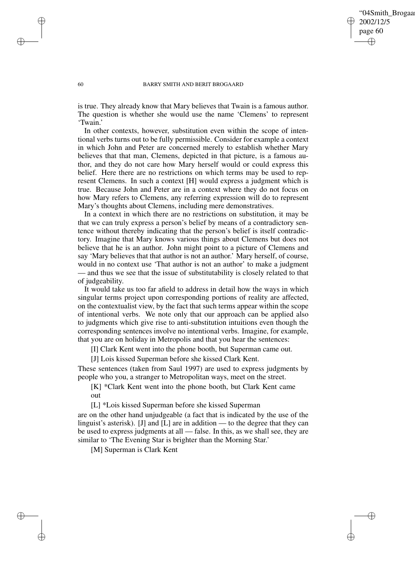## '04Smith\_Brogaa 2002/12/5 page 60 ✐ ✐

✐

✐

#### 60 BARRY SMITH AND BERIT BROGAARD

is true. They already know that Mary believes that Twain is a famous author. The question is whether she would use the name 'Clemens' to represent 'Twain.'

In other contexts, however, substitution even within the scope of intentional verbs turns out to be fully permissible. Consider for example a context in which John and Peter are concerned merely to establish whether Mary believes that that man, Clemens, depicted in that picture, is a famous author, and they do not care how Mary herself would or could express this belief. Here there are no restrictions on which terms may be used to represent Clemens. In such a context [H] would express a judgment which is true. Because John and Peter are in a context where they do not focus on how Mary refers to Clemens, any referring expression will do to represent Mary's thoughts about Clemens, including mere demonstratives.

In a context in which there are no restrictions on substitution, it may be that we can truly express a person's belief by means of a contradictory sentence without thereby indicating that the person's belief is itself contradictory. Imagine that Mary knows various things about Clemens but does not believe that he is an author. John might point to a picture of Clemens and say 'Mary believes that that author is not an author.' Mary herself, of course, would in no context use 'That author is not an author' to make a judgment — and thus we see that the issue of substitutability is closely related to that of judgeability.

It would take us too far afield to address in detail how the ways in which singular terms project upon corresponding portions of reality are affected, on the contextualist view, by the fact that such terms appear within the scope of intentional verbs. We note only that our approach can be applied also to judgments which give rise to anti-substitution intuitions even though the corresponding sentences involve no intentional verbs. Imagine, for example, that you are on holiday in Metropolis and that you hear the sentences:

[I] Clark Kent went into the phone booth, but Superman came out.

[J] Lois kissed Superman before she kissed Clark Kent.

These sentences (taken from Saul 1997) are used to express judgments by people who you, a stranger to Metropolitan ways, meet on the street.

[K] \*Clark Kent went into the phone booth, but Clark Kent came out

[L] \*Lois kissed Superman before she kissed Superman

are on the other hand unjudgeable (a fact that is indicated by the use of the linguist's asterisk). [J] and [L] are in addition — to the degree that they can be used to express judgments at all — false. In this, as we shall see, they are similar to 'The Evening Star is brighter than the Morning Star.'

[M] Superman is Clark Kent

✐

✐

✐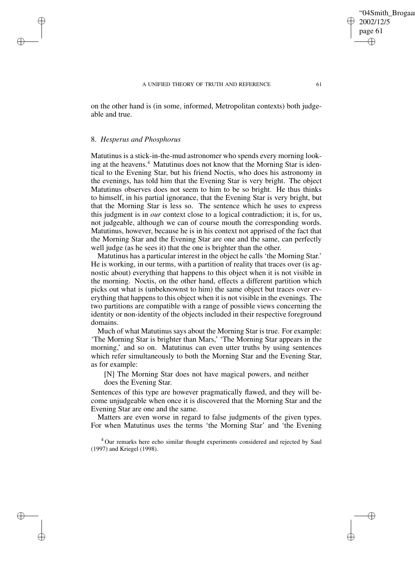on the other hand is (in some, informed, Metropolitan contexts) both judgeable and true.

## 8. *Hesperus and Phosphorus*

✐

✐

✐

✐

Matutinus is a stick-in-the-mud astronomer who spends every morning looking at the heavens.<sup>4</sup> Matutinus does not know that the Morning Star is identical to the Evening Star, but his friend Noctis, who does his astronomy in the evenings, has told him that the Evening Star is very bright. The object Matutinus observes does not seem to him to be so bright. He thus thinks to himself, in his partial ignorance, that the Evening Star is very bright, but that the Morning Star is less so. The sentence which he uses to express this judgment is in *our* context close to a logical contradiction; it is, for us, not judgeable, although we can of course mouth the corresponding words. Matutinus, however, because he is in his context not apprised of the fact that the Morning Star and the Evening Star are one and the same, can perfectly well judge (as he sees it) that the one is brighter than the other.

Matutinus has a particular interest in the object he calls 'the Morning Star.' He is working, in our terms, with a partition of reality that traces over (is agnostic about) everything that happens to this object when it is not visible in the morning. Noctis, on the other hand, effects a different partition which picks out what is (unbeknownst to him) the same object but traces over everything that happens to this object when it is not visible in the evenings. The two partitions are compatible with a range of possible views concerning the identity or non-identity of the objects included in their respective foreground domains.

Much of what Matutinus says about the Morning Star is true. For example: 'The Morning Star is brighter than Mars,' 'The Morning Star appears in the morning,' and so on. Matutinus can even utter truths by using sentences which refer simultaneously to both the Morning Star and the Evening Star, as for example:

[N] The Morning Star does not have magical powers, and neither does the Evening Star.

Sentences of this type are however pragmatically flawed, and they will become unjudgeable when once it is discovered that the Morning Star and the Evening Star are one and the same.

Matters are even worse in regard to false judgments of the given types. For when Matutinus uses the terms 'the Morning Star' and 'the Evening

<sup>4</sup> Our remarks here echo similar thought experiments considered and rejected by Saul (1997) and Kriegel (1998).

'04Smith\_Brogaar

2002/12/5 page 61

✐

✐

✐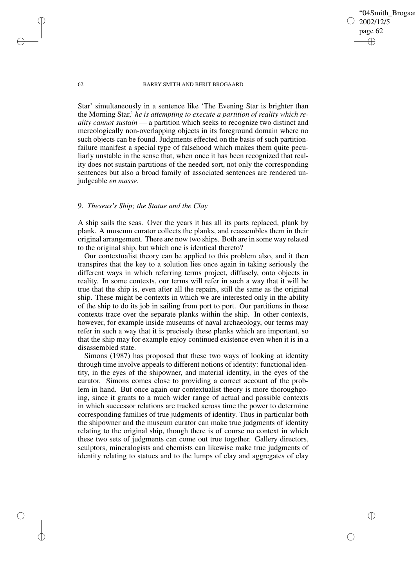'04Smith\_Brogaar 2002/12/5 page 62 ✐ ✐

✐

✐

#### 62 BARRY SMITH AND BERIT BROGAARD

Star' simultaneously in a sentence like 'The Evening Star is brighter than the Morning Star,' *he is attempting to execute a partition of reality which reality cannot sustain* — a partition which seeks to recognize two distinct and mereologically non-overlapping objects in its foreground domain where no such objects can be found. Judgments effected on the basis of such partitionfailure manifest a special type of falsehood which makes them quite peculiarly unstable in the sense that, when once it has been recognized that reality does not sustain partitions of the needed sort, not only the corresponding sentences but also a broad family of associated sentences are rendered unjudgeable *en masse*.

# 9. *Theseus's Ship; the Statue and the Clay*

A ship sails the seas. Over the years it has all its parts replaced, plank by plank. A museum curator collects the planks, and reassembles them in their original arrangement. There are now two ships. Both are in some way related to the original ship, but which one is identical thereto?

Our contextualist theory can be applied to this problem also, and it then transpires that the key to a solution lies once again in taking seriously the different ways in which referring terms project, diffusely, onto objects in reality. In some contexts, our terms will refer in such a way that it will be true that the ship is, even after all the repairs, still the same as the original ship. These might be contexts in which we are interested only in the ability of the ship to do its job in sailing from port to port. Our partitions in those contexts trace over the separate planks within the ship. In other contexts, however, for example inside museums of naval archaeology, our terms may refer in such a way that it is precisely these planks which are important, so that the ship may for example enjoy continued existence even when it is in a disassembled state.

Simons (1987) has proposed that these two ways of looking at identity through time involve appeals to different notions of identity: functional identity, in the eyes of the shipowner, and material identity, in the eyes of the curator. Simons comes close to providing a correct account of the problem in hand. But once again our contextualist theory is more thoroughgoing, since it grants to a much wider range of actual and possible contexts in which successor relations are tracked across time the power to determine corresponding families of true judgments of identity. Thus in particular both the shipowner and the museum curator can make true judgments of identity relating to the original ship, though there is of course no context in which these two sets of judgments can come out true together. Gallery directors, sculptors, mineralogists and chemists can likewise make true judgments of identity relating to statues and to the lumps of clay and aggregates of clay

✐

✐

✐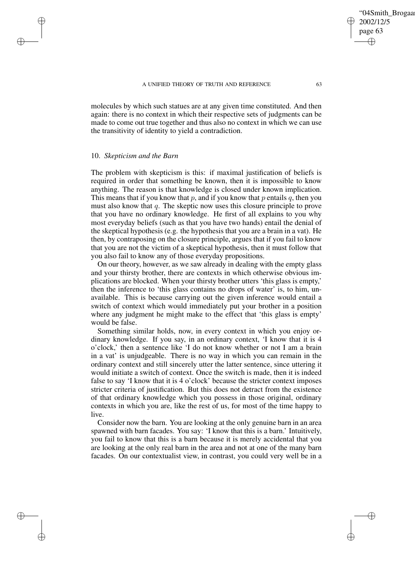molecules by which such statues are at any given time constituted. And then again: there is no context in which their respective sets of judgments can be made to come out true together and thus also no context in which we can use the transitivity of identity to yield a contradiction.

## 10. *Skepticism and the Barn*

✐

✐

✐

✐

The problem with skepticism is this: if maximal justification of beliefs is required in order that something be known, then it is impossible to know anything. The reason is that knowledge is closed under known implication. This means that if you know that p, and if you know that p entails q, then you must also know that  $q$ . The skeptic now uses this closure principle to prove that you have no ordinary knowledge. He first of all explains to you why most everyday beliefs (such as that you have two hands) entail the denial of the skeptical hypothesis (e.g. the hypothesis that you are a brain in a vat). He then, by contraposing on the closure principle, argues that if you fail to know that you are not the victim of a skeptical hypothesis, then it must follow that you also fail to know any of those everyday propositions.

On our theory, however, as we saw already in dealing with the empty glass and your thirsty brother, there are contexts in which otherwise obvious implications are blocked. When your thirsty brother utters 'this glass is empty,' then the inference to 'this glass contains no drops of water' is, to him, unavailable. This is because carrying out the given inference would entail a switch of context which would immediately put your brother in a position where any judgment he might make to the effect that 'this glass is empty' would be false.

Something similar holds, now, in every context in which you enjoy ordinary knowledge. If you say, in an ordinary context, 'I know that it is 4 o'clock,' then a sentence like 'I do not know whether or not I am a brain in a vat' is unjudgeable. There is no way in which you can remain in the ordinary context and still sincerely utter the latter sentence, since uttering it would initiate a switch of context. Once the switch is made, then it is indeed false to say 'I know that it is 4 o'clock' because the stricter context imposes stricter criteria of justification. But this does not detract from the existence of that ordinary knowledge which you possess in those original, ordinary contexts in which you are, like the rest of us, for most of the time happy to live.

Consider now the barn. You are looking at the only genuine barn in an area spawned with barn facades. You say: 'I know that this is a barn.' Intuitively, you fail to know that this is a barn because it is merely accidental that you are looking at the only real barn in the area and not at one of the many barn facades. On our contextualist view, in contrast, you could very well be in a '04Smith\_Brogaa

2002/12/5 page 63

✐

✐

✐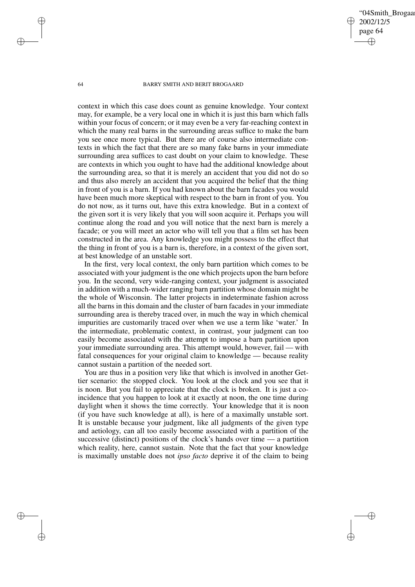'04Smith\_Brogaa 2002/12/5 page 64 ✐ ✐

✐

✐

#### 64 BARRY SMITH AND BERIT BROGAARD

context in which this case does count as genuine knowledge. Your context may, for example, be a very local one in which it is just this barn which falls within your focus of concern; or it may even be a very far-reaching context in which the many real barns in the surrounding areas suffice to make the barn you see once more typical. But there are of course also intermediate contexts in which the fact that there are so many fake barns in your immediate surrounding area suffices to cast doubt on your claim to knowledge. These are contexts in which you ought to have had the additional knowledge about the surrounding area, so that it is merely an accident that you did not do so and thus also merely an accident that you acquired the belief that the thing in front of you is a barn. If you had known about the barn facades you would have been much more skeptical with respect to the barn in front of you. You do not now, as it turns out, have this extra knowledge. But in a context of the given sort it is very likely that you will soon acquire it. Perhaps you will continue along the road and you will notice that the next barn is merely a facade; or you will meet an actor who will tell you that a film set has been constructed in the area. Any knowledge you might possess to the effect that the thing in front of you is a barn is, therefore, in a context of the given sort, at best knowledge of an unstable sort.

In the first, very local context, the only barn partition which comes to be associated with your judgment is the one which projects upon the barn before you. In the second, very wide-ranging context, your judgment is associated in addition with a much-wider ranging barn partition whose domain might be the whole of Wisconsin. The latter projects in indeterminate fashion across all the barns in this domain and the cluster of barn facades in your immediate surrounding area is thereby traced over, in much the way in which chemical impurities are customarily traced over when we use a term like 'water.' In the intermediate, problematic context, in contrast, your judgment can too easily become associated with the attempt to impose a barn partition upon your immediate surrounding area. This attempt would, however, fail — with fatal consequences for your original claim to knowledge — because reality cannot sustain a partition of the needed sort.

You are thus in a position very like that which is involved in another Gettier scenario: the stopped clock. You look at the clock and you see that it is noon. But you fail to appreciate that the clock is broken. It is just a coincidence that you happen to look at it exactly at noon, the one time during daylight when it shows the time correctly. Your knowledge that it is noon (if you have such knowledge at all), is here of a maximally unstable sort. It is unstable because your judgment, like all judgments of the given type and aetiology, can all too easily become associated with a partition of the successive (distinct) positions of the clock's hands over time — a partition which reality, here, cannot sustain. Note that the fact that your knowledge is maximally unstable does not *ipso facto* deprive it of the claim to being

✐

✐

✐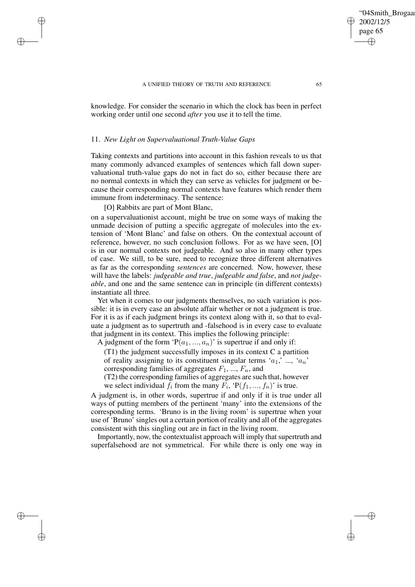knowledge. For consider the scenario in which the clock has been in perfect working order until one second *after* you use it to tell the time.

## 11. *New Light on Supervaluational Truth-Value Gaps*

Taking contexts and partitions into account in this fashion reveals to us that many commonly advanced examples of sentences which fall down supervaluational truth-value gaps do not in fact do so, either because there are no normal contexts in which they can serve as vehicles for judgment or because their corresponding normal contexts have features which render them immune from indeterminacy. The sentence:

[O] Rabbits are part of Mont Blanc,

✐

✐

✐

✐

on a supervaluationist account, might be true on some ways of making the unmade decision of putting a specific aggregate of molecules into the extension of 'Mont Blanc' and false on others. On the contextual account of reference, however, no such conclusion follows. For as we have seen, [O] is in our normal contexts not judgeable. And so also in many other types of case. We still, to be sure, need to recognize three different alternatives as far as the corresponding *sentences* are concerned. Now, however, these will have the labels: *judgeable and true*, *judgeable and false*, and *not judgeable*, and one and the same sentence can in principle (in different contexts) instantiate all three.

Yet when it comes to our judgments themselves, no such variation is possible: it is in every case an absolute affair whether or not a judgment is true. For it is as if each judgment brings its context along with it, so that to evaluate a judgment as to supertruth and -falsehood is in every case to evaluate that judgment in its context. This implies the following principle:

A judgment of the form ' $P(a_1, ..., a_n)$ ' is supertrue if and only if:

(T1) the judgment successfully imposes in its context C a partition of reality assigning to its constituent singular terms ' $a_1$ ,' ..., ' $a_n$ '

corresponding families of aggregates  $F_1$ , ...,  $F_n$ , and

(T2) the corresponding families of aggregates are such that, however we select individual  $f_i$  from the many  $F_i$ , ' $P(f_1, ..., f_n)$ ' is true.

A judgment is, in other words, supertrue if and only if it is true under all ways of putting members of the pertinent 'many' into the extensions of the corresponding terms. 'Bruno is in the living room' is supertrue when your use of 'Bruno' singles out a certain portion of reality and all of the aggregates consistent with this singling out are in fact in the living room.

Importantly, now, the contextualist approach will imply that supertruth and superfalsehood are not symmetrical. For while there is only one way in

'04Smith\_Brogaar

2002/12/5 page 65

✐

✐

✐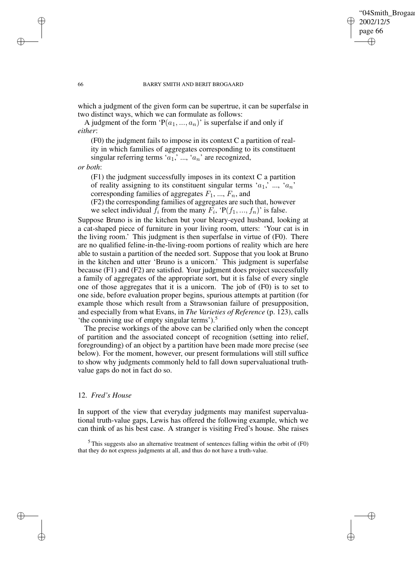## '04Smith\_Brogaa 2002/12/5 page 66 ✐ ✐

✐

✐

#### 66 BARRY SMITH AND BERIT BROGAARD

which a judgment of the given form can be supertrue, it can be superfalse in two distinct ways, which we can formulate as follows:

A judgment of the form ' $P(a_1, ..., a_n)$ ' is superfalse if and only if *either*:

(F0) the judgment fails to impose in its context C a partition of reality in which families of aggregates corresponding to its constituent singular referring terms ' $a_1$ ' ..., ' $a_n$ ' are recognized,

*or both*:

(F1) the judgment successfully imposes in its context C a partition of reality assigning to its constituent singular terms ' $a_1$ ', ..., ' $a_n$ ' corresponding families of aggregates  $F_1$ , ...,  $F_n$ , and

(F2) the corresponding families of aggregates are such that, however we select individual  $f_i$  from the many  $F_i$ , ' $P(f_1, ..., f_n)$ ' is false.

Suppose Bruno is in the kitchen but your bleary-eyed husband, looking at a cat-shaped piece of furniture in your living room, utters: 'Your cat is in the living room.' This judgment is then superfalse in virtue of (F0). There are no qualified feline-in-the-living-room portions of reality which are here able to sustain a partition of the needed sort. Suppose that you look at Bruno in the kitchen and utter 'Bruno is a unicorn.' This judgment is superfalse because (F1) and (F2) are satisfied. Your judgment does project successfully a family of aggregates of the appropriate sort, but it is false of every single one of those aggregates that it is a unicorn. The job of (F0) is to set to one side, before evaluation proper begins, spurious attempts at partition (for example those which result from a Strawsonian failure of presupposition, and especially from what Evans, in *The Varieties of Reference* (p. 123), calls 'the conniving use of empty singular terms').<sup>5</sup>

The precise workings of the above can be clarified only when the concept of partition and the associated concept of recognition (setting into relief, foregrounding) of an object by a partition have been made more precise (see below). For the moment, however, our present formulations will still suffice to show why judgments commonly held to fall down supervaluational truthvalue gaps do not in fact do so.

# 12. *Fred's House*

In support of the view that everyday judgments may manifest supervaluational truth-value gaps, Lewis has offered the following example, which we can think of as his best case. A stranger is visiting Fred's house. She raises

✐

✐

✐

<sup>5</sup> This suggests also an alternative treatment of sentences falling within the orbit of (F0) that they do not express judgments at all, and thus do not have a truth-value.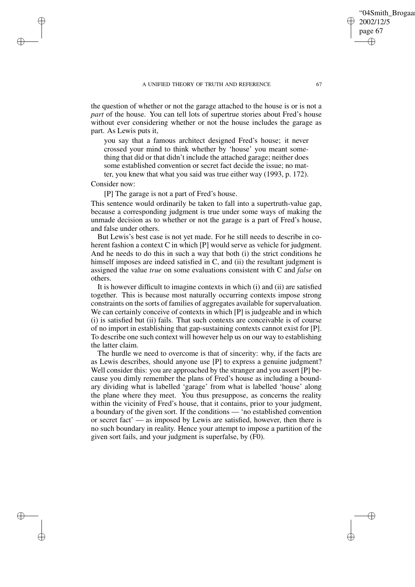the question of whether or not the garage attached to the house is or is not a *part* of the house. You can tell lots of supertrue stories about Fred's house without ever considering whether or not the house includes the garage as part. As Lewis puts it,

you say that a famous architect designed Fred's house; it never crossed your mind to think whether by 'house' you meant something that did or that didn't include the attached garage; neither does some established convention or secret fact decide the issue; no matter, you knew that what you said was true either way (1993, p. 172).

## Consider now:

✐

✐

✐

✐

[P] The garage is not a part of Fred's house.

This sentence would ordinarily be taken to fall into a supertruth-value gap, because a corresponding judgment is true under some ways of making the unmade decision as to whether or not the garage is a part of Fred's house, and false under others.

But Lewis's best case is not yet made. For he still needs to describe in coherent fashion a context C in which [P] would serve as vehicle for judgment. And he needs to do this in such a way that both (i) the strict conditions he himself imposes are indeed satisfied in C, and (ii) the resultant judgment is assigned the value *true* on some evaluations consistent with C and *false* on others.

It is however difficult to imagine contexts in which (i) and (ii) are satisfied together. This is because most naturally occurring contexts impose strong constraints on the sorts of families of aggregates available forsupervaluation. We can certainly conceive of contexts in which [P] is judgeable and in which (i) is satisfied but (ii) fails. That such contexts are conceivable is of course of no import in establishing that gap-sustaining contexts cannot exist for [P]. To describe one such context will however help us on our way to establishing the latter claim.

The hurdle we need to overcome is that of sincerity: why, if the facts are as Lewis describes, should anyone use [P] to express a genuine judgment? Well consider this: you are approached by the stranger and you assert [P] because you dimly remember the plans of Fred's house as including a boundary dividing what is labelled 'garage' from what is labelled 'house' along the plane where they meet. You thus presuppose, as concerns the reality within the vicinity of Fred's house, that it contains, prior to your judgment, a boundary of the given sort. If the conditions — 'no established convention or secret fact' — as imposed by Lewis are satisfied, however, then there is no such boundary in reality. Hence your attempt to impose a partition of the given sort fails, and your judgment is superfalse, by (F0).

'04Smith\_Brogaa

2002/12/5 page 67

✐

✐

✐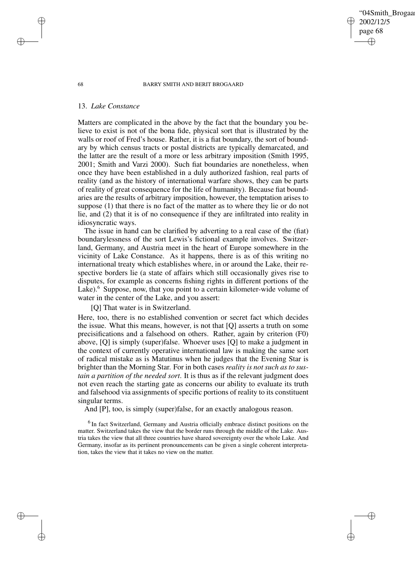## '04Smith\_Brogaar 2002/12/5 page 68 ✐ ✐

✐

✐

#### 68 BARRY SMITH AND BERIT BROGAARD

## 13. *Lake Constance*

Matters are complicated in the above by the fact that the boundary you believe to exist is not of the bona fide, physical sort that is illustrated by the walls or roof of Fred's house. Rather, it is a fiat boundary, the sort of boundary by which census tracts or postal districts are typically demarcated, and the latter are the result of a more or less arbitrary imposition (Smith 1995, 2001; Smith and Varzi 2000). Such fiat boundaries are nonetheless, when once they have been established in a duly authorized fashion, real parts of reality (and as the history of international warfare shows, they can be parts of reality of great consequence for the life of humanity). Because fiat boundaries are the results of arbitrary imposition, however, the temptation arises to suppose (1) that there is no fact of the matter as to where they lie or do not lie, and (2) that it is of no consequence if they are infiltrated into reality in idiosyncratic ways.

The issue in hand can be clarified by adverting to a real case of the (fiat) boundarylessness of the sort Lewis's fictional example involves. Switzerland, Germany, and Austria meet in the heart of Europe somewhere in the vicinity of Lake Constance. As it happens, there is as of this writing no international treaty which establishes where, in or around the Lake, their respective borders lie (a state of affairs which still occasionally gives rise to disputes, for example as concerns fishing rights in different portions of the Lake). $6$  Suppose, now, that you point to a certain kilometer-wide volume of water in the center of the Lake, and you assert:

[Q] That water is in Switzerland.

Here, too, there is no established convention or secret fact which decides the issue. What this means, however, is not that [Q] asserts a truth on some precisifications and a falsehood on others. Rather, again by criterion (F0) above, [Q] is simply (super)false. Whoever uses [Q] to make a judgment in the context of currently operative international law is making the same sort of radical mistake as is Matutinus when he judges that the Evening Star is brighter than the Morning Star. For in both cases *reality is not such as to sustain a partition of the needed sort*. It is thus as if the relevant judgment does not even reach the starting gate as concerns our ability to evaluate its truth and falsehood via assignments of specific portions of reality to its constituent singular terms.

And [P], too, is simply (super)false, for an exactly analogous reason.

<sup>6</sup> In fact Switzerland, Germany and Austria officially embrace distinct positions on the matter. Switzerland takes the view that the border runs through the middle of the Lake. Austria takes the view that all three countries have shared sovereignty over the whole Lake. And Germany, insofar as its pertinent pronouncements can be given a single coherent interpretation, takes the view that it takes no view on the matter.

✐

✐

✐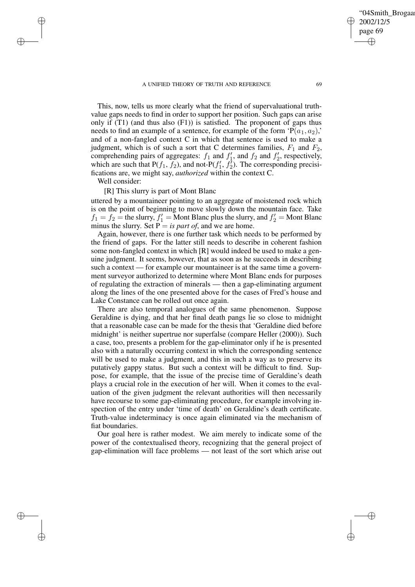✐

04Smith\_Brogaar

This, now, tells us more clearly what the friend of supervaluational truthvalue gaps needs to find in order to support her position. Such gaps can arise only if  $(T1)$  (and thus also  $(F1)$ ) is satisfied. The proponent of gaps thus needs to find an example of a sentence, for example of the form ' $P(a_1, a_2)$ ' and of a non-fangled context C in which that sentence is used to make a judgment, which is of such a sort that C determines families,  $F_1$  and  $F_2$ , comprehending pairs of aggregates:  $f_1$  and  $f'_1$ , and  $f_2$  and  $f'_2$ , respectively, which are such that P( $f_1$ ,  $f_2$ ), and not-P( $f'_1$ ,  $f'_2$ ). The corresponding precisifications are, we might say, *authorized* within the context C.

Well consider:

✐

✐

✐

✐

[R] This slurry is part of Mont Blanc

uttered by a mountaineer pointing to an aggregate of moistened rock which is on the point of beginning to move slowly down the mountain face. Take  $f_1 = f_2$  = the slurry,  $f'_1$  = Mont Blanc plus the slurry, and  $f'_2$  = Mont Blanc minus the slurry. Set  $\overrightarrow{P} =$  *is part of*, and we are home.

Again, however, there is one further task which needs to be performed by the friend of gaps. For the latter still needs to describe in coherent fashion some non-fangled context in which [R] would indeed be used to make a genuine judgment. It seems, however, that as soon as he succeeds in describing such a context — for example our mountaineer is at the same time a government surveyor authorized to determine where Mont Blanc ends for purposes of regulating the extraction of minerals — then a gap-eliminating argument along the lines of the one presented above for the cases of Fred's house and Lake Constance can be rolled out once again.

There are also temporal analogues of the same phenomenon. Suppose Geraldine is dying, and that her final death pangs lie so close to midnight that a reasonable case can be made for the thesis that 'Geraldine died before midnight' is neither supertrue nor superfalse (compare Heller (2000)). Such a case, too, presents a problem for the gap-eliminator only if he is presented also with a naturally occurring context in which the corresponding sentence will be used to make a judgment, and this in such a way as to preserve its putatively gappy status. But such a context will be difficult to find. Suppose, for example, that the issue of the precise time of Geraldine's death plays a crucial role in the execution of her will. When it comes to the evaluation of the given judgment the relevant authorities will then necessarily have recourse to some gap-eliminating procedure, for example involving inspection of the entry under 'time of death' on Geraldine's death certificate. Truth-value indeterminacy is once again eliminated via the mechanism of fiat boundaries.

Our goal here is rather modest. We aim merely to indicate some of the power of the contextualised theory, recognizing that the general project of gap-elimination will face problems — not least of the sort which arise out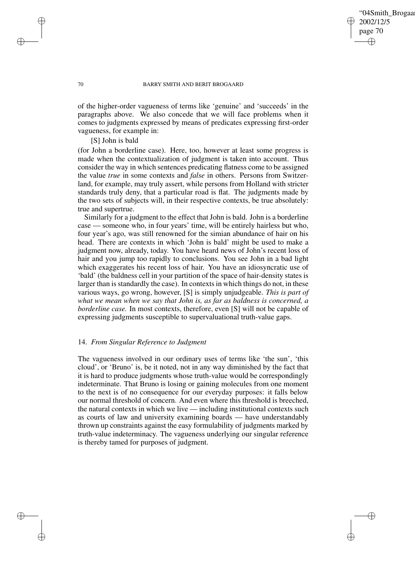## '04Smith\_Brogaar 2002/12/5 page 70 ✐ ✐

✐

✐

#### 70 BARRY SMITH AND BERIT BROGAARD

of the higher-order vagueness of terms like 'genuine' and 'succeeds' in the paragraphs above. We also concede that we will face problems when it comes to judgments expressed by means of predicates expressing first-order vagueness, for example in:

# [S] John is bald

(for John a borderline case). Here, too, however at least some progress is made when the contextualization of judgment is taken into account. Thus consider the way in which sentences predicating flatness come to be assigned the value *true* in some contexts and *false* in others. Persons from Switzerland, for example, may truly assert, while persons from Holland with stricter standards truly deny, that a particular road is flat. The judgments made by the two sets of subjects will, in their respective contexts, be true absolutely: true and supertrue.

Similarly for a judgment to the effect that John is bald. John is a borderline case — someone who, in four years' time, will be entirely hairless but who, four year's ago, was still renowned for the simian abundance of hair on his head. There are contexts in which 'John is bald' might be used to make a judgment now, already, today. You have heard news of John's recent loss of hair and you jump too rapidly to conclusions. You see John in a bad light which exaggerates his recent loss of hair. You have an idiosyncratic use of 'bald' (the baldness cell in your partition of the space of hair-density states is larger than is standardly the case). In contexts in which things do not, in these various ways, go wrong, however, [S] is simply unjudgeable. *This is part of what we mean when we say that John is, as far as baldness is concerned, a borderline case.* In most contexts, therefore, even [S] will not be capable of expressing judgments susceptible to supervaluational truth-value gaps.

## 14. *From Singular Reference to Judgment*

The vagueness involved in our ordinary uses of terms like 'the sun', 'this cloud', or 'Bruno' is, be it noted, not in any way diminished by the fact that it is hard to produce judgments whose truth-value would be correspondingly indeterminate. That Bruno is losing or gaining molecules from one moment to the next is of no consequence for our everyday purposes: it falls below our normal threshold of concern. And even where this threshold is breeched, the natural contexts in which we live — including institutional contexts such as courts of law and university examining boards — have understandably thrown up constraints against the easy formulability of judgments marked by truth-value indeterminacy. The vagueness underlying our singular reference is thereby tamed for purposes of judgment.

✐

✐

✐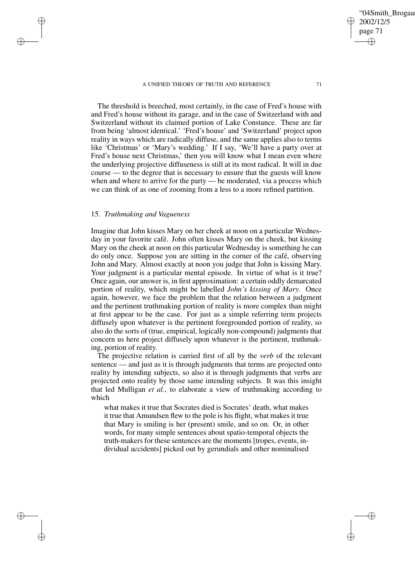The threshold is breeched, most certainly, in the case of Fred's house with and Fred's house without its garage, and in the case of Switzerland with and Switzerland without its claimed portion of Lake Constance. These are far from being 'almost identical.' 'Fred's house' and 'Switzerland' project upon reality in ways which are radically diffuse, and the same applies also to terms like 'Christmas' or 'Mary's wedding.' If I say, 'We'll have a party over at Fred's house next Christmas,' then you will know what I mean even where the underlying projective diffuseness is still at its most radical. It will in due course — to the degree that is necessary to ensure that the guests will know when and where to arrive for the party — be moderated, via a process which we can think of as one of zooming from a less to a more refined partition.

## 15. *Truthmaking and Vagueness*

✐

✐

✐

✐

Imagine that John kisses Mary on her cheek at noon on a particular Wednesday in your favorite café. John often kisses Mary on the cheek, but kissing Mary on the cheek at noon on this particular Wednesday is something he can do only once. Suppose you are sitting in the corner of the café, observing John and Mary. Almost exactly at noon you judge that John is kissing Mary. Your judgment is a particular mental episode. In virtue of what is it true? Once again, our answer is, in first approximation: a certain oddly demarcated portion of reality, which might be labelled *John's kissing of Mary*. Once again, however, we face the problem that the relation between a judgment and the pertinent truthmaking portion of reality is more complex than might at first appear to be the case. For just as a simple referring term projects diffusely upon whatever is the pertinent foregrounded portion of reality, so also do the sorts of (true, empirical, logically non-compound) judgments that concern us here project diffusely upon whatever is the pertinent, truthmaking, portion of reality.

The projective relation is carried first of all by the *verb* of the relevant sentence — and just as it is through judgments that terms are projected onto reality by intending subjects, so also it is through judgments that verbs are projected onto reality by those same intending subjects. It was this insight that led Mulligan *et al.*, to elaborate a view of truthmaking according to which

what makes it true that Socrates died is Socrates' death, what makes it true that Amundsen flew to the pole is his flight, what makes it true that Mary is smiling is her (present) smile, and so on. Or, in other words, for many simple sentences about spatio-temporal objects the truth-makers for these sentences are the moments [tropes, events, individual accidents] picked out by gerundials and other nominalised

'04Smith\_Brogaa

2002/12/5 page 71

✐

✐

✐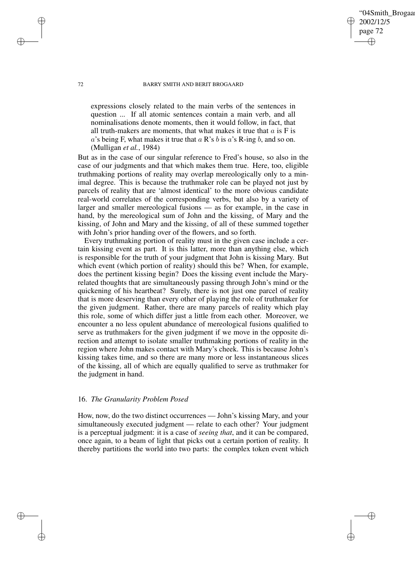# 2002/12/5 page 72 ✐ ✐

✐

✐

'04Smith\_Brogaa

## 72 BARRY SMITH AND BERIT BROGAARD

expressions closely related to the main verbs of the sentences in question ... If all atomic sentences contain a main verb, and all nominalisations denote moments, then it would follow, in fact, that all truth-makers are moments, that what makes it true that  $a$  is F is a's being F, what makes it true that  $a \, \mathbb{R}$ 's b is  $a$ 's R-ing b, and so on. (Mulligan *et al.*, 1984)

But as in the case of our singular reference to Fred's house, so also in the case of our judgments and that which makes them true. Here, too, eligible truthmaking portions of reality may overlap mereologically only to a minimal degree. This is because the truthmaker role can be played not just by parcels of reality that are 'almost identical' to the more obvious candidate real-world correlates of the corresponding verbs, but also by a variety of larger and smaller mereological fusions — as for example, in the case in hand, by the mereological sum of John and the kissing, of Mary and the kissing, of John and Mary and the kissing, of all of these summed together with John's prior handing over of the flowers, and so forth.

Every truthmaking portion of reality must in the given case include a certain kissing event as part. It is this latter, more than anything else, which is responsible for the truth of your judgment that John is kissing Mary. But which event (which portion of reality) should this be? When, for example, does the pertinent kissing begin? Does the kissing event include the Maryrelated thoughts that are simultaneously passing through John's mind or the quickening of his heartbeat? Surely, there is not just one parcel of reality that is more deserving than every other of playing the role of truthmaker for the given judgment. Rather, there are many parcels of reality which play this role, some of which differ just a little from each other. Moreover, we encounter a no less opulent abundance of mereological fusions qualified to serve as truthmakers for the given judgment if we move in the opposite direction and attempt to isolate smaller truthmaking portions of reality in the region where John makes contact with Mary's cheek. This is because John's kissing takes time, and so there are many more or less instantaneous slices of the kissing, all of which are equally qualified to serve as truthmaker for the judgment in hand.

## 16. *The Granularity Problem Posed*

How, now, do the two distinct occurrences — John's kissing Mary, and your simultaneously executed judgment — relate to each other? Your judgment is a perceptual judgment: it is a case of *seeing that*, and it can be compared, once again, to a beam of light that picks out a certain portion of reality. It thereby partitions the world into two parts: the complex token event which

✐

✐

✐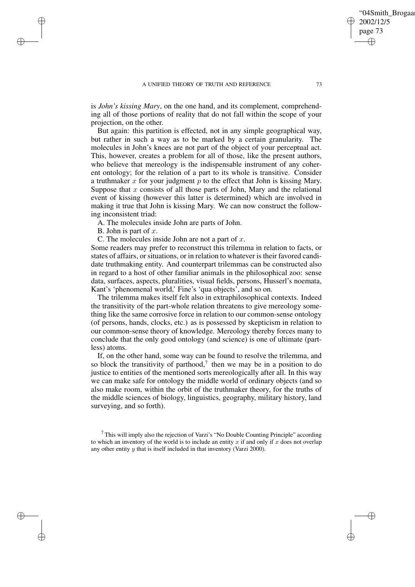is *John's kissing Mary*, on the one hand, and its complement, comprehending all of those portions of reality that do not fall within the scope of your projection, on the other.

But again: this partition is effected, not in any simple geographical way, but rather in such a way as to be marked by a certain granularity. The molecules in John's knees are not part of the object of your perceptual act. This, however, creates a problem for all of those, like the present authors, who believe that mereology is the indispensable instrument of any coherent ontology; for the relation of a part to its whole is transitive. Consider a truthmaker  $x$  for your judgment  $p$  to the effect that John is kissing Mary. Suppose that x consists of all those parts of John, Mary and the relational event of kissing (however this latter is determined) which are involved in making it true that John is kissing Mary. We can now construct the following inconsistent triad:

A. The molecules inside John are parts of John.

B. John is part of  $x$ .

✐

✐

✐

✐

C. The molecules inside John are not a part of  $x$ .

Some readers may prefer to reconstruct this trilemma in relation to facts, or states of affairs, or situations, or in relation to whatever is their favored candidate truthmaking entity. And counterpart trilemmas can be constructed also in regard to a host of other familiar animals in the philosophical zoo: sense data, surfaces, aspects, pluralities, visual fields, persons, Husserl's noemata, Kant's 'phenomenal world,' Fine's 'qua objects', and so on.

The trilemma makes itself felt also in extraphilosophical contexts. Indeed the transitivity of the part-whole relation threatens to give mereology something like the same corrosive force in relation to our common-sense ontology (of persons, hands, clocks, etc.) as is possessed by skepticism in relation to our common-sense theory of knowledge. Mereology thereby forces many to conclude that the only good ontology (and science) is one of ultimate (partless) atoms.

If, on the other hand, some way can be found to resolve the trilemma, and so block the transitivity of parthood,<sup>7</sup> then we may be in a position to do justice to entities of the mentioned sorts mereologically after all. In this way we can make safe for ontology the middle world of ordinary objects (and so also make room, within the orbit of the truthmaker theory, for the truths of the middle sciences of biology, linguistics, geography, military history, land surveying, and so forth).

 $<sup>7</sup>$  This will imply also the rejection of Varzi's "No Double Counting Principle" according</sup> to which an inventory of the world is to include an entity  $x$  if and only if  $x$  does not overlap any other entity y that is itself included in that inventory (Varzi 2000).

04Smith\_Brogaar

2002/12/5 page 73

✐

✐

✐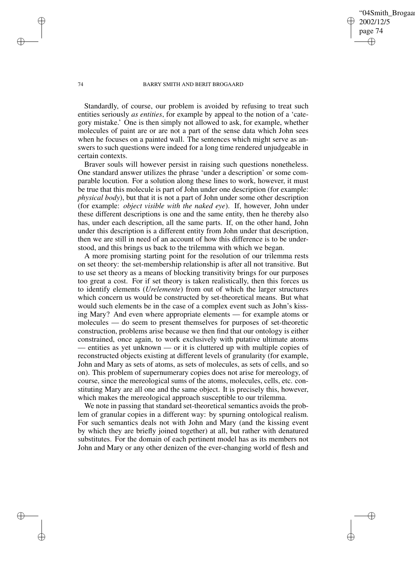## '04Smith\_Brogaa 2002/12/5 page 74 ✐ ✐

✐

✐

#### 74 BARRY SMITH AND BERIT BROGAARD

Standardly, of course, our problem is avoided by refusing to treat such entities seriously *as entities*, for example by appeal to the notion of a 'category mistake.' One is then simply not allowed to ask, for example, whether molecules of paint are or are not a part of the sense data which John sees when he focuses on a painted wall. The sentences which might serve as answers to such questions were indeed for a long time rendered unjudgeable in certain contexts.

Braver souls will however persist in raising such questions nonetheless. One standard answer utilizes the phrase 'under a description' or some comparable locution. For a solution along these lines to work, however, it must be true that this molecule is part of John under one description (for example: *physical body*), but that it is not a part of John under some other description (for example: *object visible with the naked eye*). If, however, John under these different descriptions is one and the same entity, then he thereby also has, under each description, all the same parts. If, on the other hand, John under this description is a different entity from John under that description, then we are still in need of an account of how this difference is to be understood, and this brings us back to the trilemma with which we began.

A more promising starting point for the resolution of our trilemma rests on set theory: the set-membership relationship is after all not transitive. But to use set theory as a means of blocking transitivity brings for our purposes too great a cost. For if set theory is taken realistically, then this forces us to identify elements (*Urelemente*) from out of which the larger structures which concern us would be constructed by set-theoretical means. But what would such elements be in the case of a complex event such as John's kissing Mary? And even where appropriate elements — for example atoms or molecules — do seem to present themselves for purposes of set-theoretic construction, problems arise because we then find that our ontology is either constrained, once again, to work exclusively with putative ultimate atoms — entities as yet unknown — or it is cluttered up with multiple copies of reconstructed objects existing at different levels of granularity (for example, John and Mary as sets of atoms, as sets of molecules, as sets of cells, and so on). This problem of supernumerary copies does not arise for mereology, of course, since the mereological sums of the atoms, molecules, cells, etc. constituting Mary are all one and the same object. It is precisely this, however, which makes the mereological approach susceptible to our trilemma.

We note in passing that standard set-theoretical semantics avoids the problem of granular copies in a different way: by spurning ontological realism. For such semantics deals not with John and Mary (and the kissing event by which they are briefly joined together) at all, but rather with denatured substitutes. For the domain of each pertinent model has as its members not John and Mary or any other denizen of the ever-changing world of flesh and

✐

✐

✐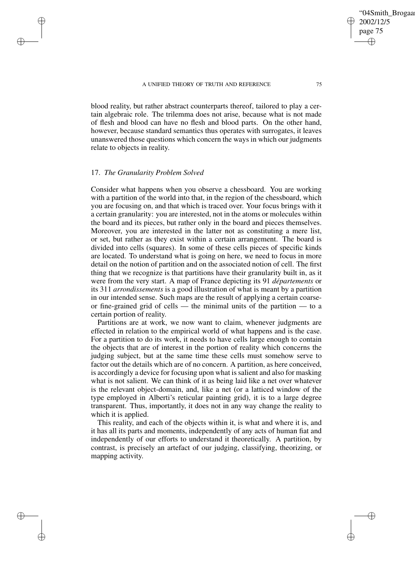blood reality, but rather abstract counterparts thereof, tailored to play a certain algebraic role. The trilemma does not arise, because what is not made of flesh and blood can have no flesh and blood parts. On the other hand, however, because standard semantics thus operates with surrogates, it leaves unanswered those questions which concern the ways in which our judgments relate to objects in reality.

# 17. *The Granularity Problem Solved*

✐

✐

✐

✐

Consider what happens when you observe a chessboard. You are working with a partition of the world into that, in the region of the chessboard, which you are focusing on, and that which is traced over. Your focus brings with it a certain granularity: you are interested, not in the atoms or molecules within the board and its pieces, but rather only in the board and pieces themselves. Moreover, you are interested in the latter not as constituting a mere list, or set, but rather as they exist within a certain arrangement. The board is divided into cells (squares). In some of these cells pieces of specific kinds are located. To understand what is going on here, we need to focus in more detail on the notion of partition and on the associated notion of cell. The first thing that we recognize is that partitions have their granularity built in, as it were from the very start. A map of France depicting its 91 *départements* or its 311 *arrondissements* is a good illustration of what is meant by a partition in our intended sense. Such maps are the result of applying a certain coarseor fine-grained grid of cells — the minimal units of the partition — to a certain portion of reality.

Partitions are at work, we now want to claim, whenever judgments are effected in relation to the empirical world of what happens and is the case. For a partition to do its work, it needs to have cells large enough to contain the objects that are of interest in the portion of reality which concerns the judging subject, but at the same time these cells must somehow serve to factor out the details which are of no concern. A partition, as here conceived, is accordingly a device for focusing upon what issalient and also for masking what is not salient. We can think of it as being laid like a net over whatever is the relevant object-domain, and, like a net (or a latticed window of the type employed in Alberti's reticular painting grid), it is to a large degree transparent. Thus, importantly, it does not in any way change the reality to which it is applied.

This reality, and each of the objects within it, is what and where it is, and it has all its parts and moments, independently of any acts of human fiat and independently of our efforts to understand it theoretically. A partition, by contrast, is precisely an artefact of our judging, classifying, theorizing, or mapping activity.

'04Smith\_Brogaa

2002/12/5 page 75

✐

✐

✐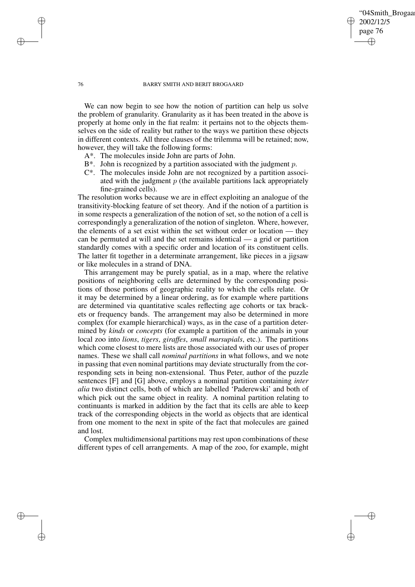## '04Smith\_Brogaa 2002/12/5 page 76 ✐ ✐

✐

✐

#### 76 BARRY SMITH AND BERIT BROGAARD

We can now begin to see how the notion of partition can help us solve the problem of granularity. Granularity as it has been treated in the above is properly at home only in the fiat realm: it pertains not to the objects themselves on the side of reality but rather to the ways we partition these objects in different contexts. All three clauses of the trilemma will be retained; now, however, they will take the following forms:

- A\*. The molecules inside John are parts of John.
- $B^*$ . John is recognized by a partition associated with the judgment p.
- C\*. The molecules inside John are not recognized by a partition associated with the judgment  $p$  (the available partitions lack appropriately fine-grained cells).

The resolution works because we are in effect exploiting an analogue of the transitivity-blocking feature of set theory. And if the notion of a partition is in some respects a generalization of the notion of set, so the notion of a cell is correspondingly a generalization of the notion of singleton. Where, however, the elements of a set exist within the set without order or location — they can be permuted at will and the set remains identical — a grid or partition standardly comes with a specific order and location of its constituent cells. The latter fit together in a determinate arrangement, like pieces in a jigsaw or like molecules in a strand of DNA.

This arrangement may be purely spatial, as in a map, where the relative positions of neighboring cells are determined by the corresponding positions of those portions of geographic reality to which the cells relate. Or it may be determined by a linear ordering, as for example where partitions are determined via quantitative scales reflecting age cohorts or tax brackets or frequency bands. The arrangement may also be determined in more complex (for example hierarchical) ways, as in the case of a partition determined by *kinds* or *concepts* (for example a partition of the animals in your local zoo into *lions*, *tigers*, *giraffes*, *small marsupials*, etc.). The partitions which come closest to mere lists are those associated with our uses of proper names. These we shall call *nominal partitions* in what follows, and we note in passing that even nominal partitions may deviate structurally from the corresponding sets in being non-extensional. Thus Peter, author of the puzzle sentences [F] and [G] above, employs a nominal partition containing *inter alia* two distinct cells, both of which are labelled 'Paderewski' and both of which pick out the same object in reality. A nominal partition relating to continuants is marked in addition by the fact that its cells are able to keep track of the corresponding objects in the world as objects that are identical from one moment to the next in spite of the fact that molecules are gained and lost.

Complex multidimensional partitions may rest upon combinations of these different types of cell arrangements. A map of the zoo, for example, might

✐

✐

✐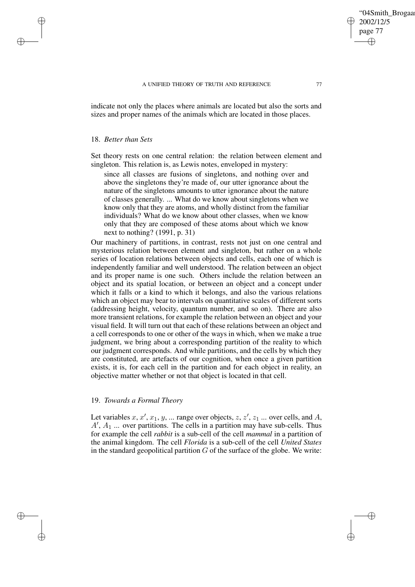indicate not only the places where animals are located but also the sorts and sizes and proper names of the animals which are located in those places.

## 18. *Better than Sets*

✐

✐

✐

✐

Set theory rests on one central relation: the relation between element and singleton. This relation is, as Lewis notes, enveloped in mystery:

since all classes are fusions of singletons, and nothing over and above the singletons they're made of, our utter ignorance about the nature of the singletons amounts to utter ignorance about the nature of classes generally. ... What do we know about singletons when we know only that they are atoms, and wholly distinct from the familiar individuals? What do we know about other classes, when we know only that they are composed of these atoms about which we know next to nothing? (1991, p. 31)

Our machinery of partitions, in contrast, rests not just on one central and mysterious relation between element and singleton, but rather on a whole series of location relations between objects and cells, each one of which is independently familiar and well understood. The relation between an object and its proper name is one such. Others include the relation between an object and its spatial location, or between an object and a concept under which it falls or a kind to which it belongs, and also the various relations which an object may bear to intervals on quantitative scales of different sorts (addressing height, velocity, quantum number, and so on). There are also more transient relations, for example the relation between an object and your visual field. It will turn out that each of these relations between an object and a cell corresponds to one or other of the ways in which, when we make a true judgment, we bring about a corresponding partition of the reality to which our judgment corresponds. And while partitions, and the cells by which they are constituted, are artefacts of our cognition, when once a given partition exists, it is, for each cell in the partition and for each object in reality, an objective matter whether or not that object is located in that cell.

## 19. *Towards a Formal Theory*

Let variables  $x, x', x_1, y, \dots$  range over objects,  $z, z', z_1 \dots$  over cells, and A,  $A'$ ,  $A_1$  ... over partitions. The cells in a partition may have sub-cells. Thus for example the cell *rabbit* is a sub-cell of the cell *mammal* in a partition of the animal kingdom. The cell *Florida* is a sub-cell of the cell *United States* in the standard geopolitical partition  $G$  of the surface of the globe. We write: '04Smith\_Brogaar

2002/12/5 page 77

✐

✐

✐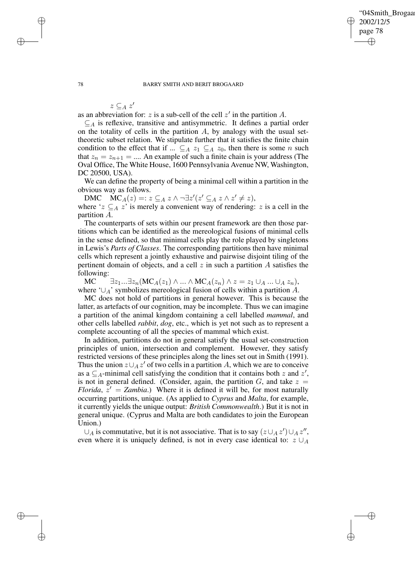✐

#### 78 BARRY SMITH AND BERIT BROGAARD

 $z \subseteq_A z'$ 

as an abbreviation for: z is a sub-cell of the cell  $z'$  in the partition A.

 $\subseteq$  a is reflexive, transitive and antisymmetric. It defines a partial order on the totality of cells in the partition  $A$ , by analogy with the usual settheoretic subset relation. We stipulate further that it satisfies the finite chain condition to the effect that if ...  $\subseteq_A z_1 \subseteq_A z_0$ , then there is some *n* such that  $z_n = z_{n+1} = ...$  An example of such a finite chain is your address (The Oval Office, The White House, 1600 Pennsylvania Avenue NW, Washington, DC 20500, USA).

We can define the property of being a minimal cell within a partition in the obvious way as follows.

DMC  $MC_A(z) =: z \subseteq_A z \land \neg \exists z' (z' \subseteq_A z \land z' \neq z),$ where ' $z \subseteq_A z$ ' is merely a convenient way of rendering: z is a cell in the partition A.

The counterparts of sets within our present framework are then those partitions which can be identified as the mereological fusions of minimal cells in the sense defined, so that minimal cells play the role played by singletons in Lewis's *Parts of Classes*. The corresponding partitions then have minimal cells which represent a jointly exhaustive and pairwise disjoint tiling of the pertinent domain of objects, and a cell  $z$  in such a partition  $A$  satisfies the following:

MC  $\exists z_1...\exists z_n(MC_A(z_1)\wedge...\wedge MC_A(z_n)\wedge z=z_1\cup_A...\cup_A z_n),$ where ' $\cup_A$ ' symbolizes mereological fusion of cells within a partition A.

MC does not hold of partitions in general however. This is because the latter, as artefacts of our cognition, may be incomplete. Thus we can imagine a partition of the animal kingdom containing a cell labelled *mammal*, and other cells labelled *rabbit*, *dog*, etc., which is yet not such as to represent a complete accounting of all the species of mammal which exist.

In addition, partitions do not in general satisfy the usual set-construction principles of union, intersection and complement. However, they satisfy restricted versions of these principles along the lines set out in Smith (1991). Thus the union  $z \cup_A z'$  of two cells in a partition A, which we are to conceive as a  $\subseteq$ <sub>A</sub>-minimal cell satisfying the condition that it contains both z and z', is not in general defined. (Consider, again, the partition  $G$ , and take  $z =$ *Florida*,  $z' = Zambia$ .) Where it is defined it will be, for most naturally occurring partitions, unique. (As applied to *Cyprus* and *Malta*, for example, it currently yields the unique output: *British Commonwealth*.) But it is not in general unique. (Cyprus and Malta are both candidates to join the European Union.)

 $\cup_A$  is commutative, but it is not associative. That is to say  $(z \cup_A z') \cup_A z''$ , even where it is uniquely defined, is not in every case identical to:  $z \cup_A$ 

✐

✐

✐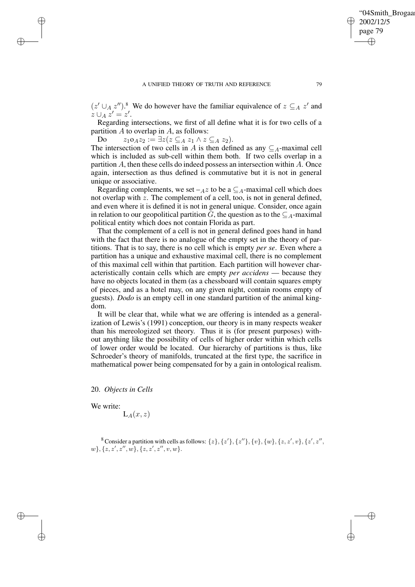$(z' \cup_A z'')$ .<sup>8</sup> We do however have the familiar equivalence of  $z \subseteq_A z'$  and  $z \cup_A z' = z'.$ 

Regarding intersections, we first of all define what it is for two cells of a partition  $A$  to overlap in  $A$ , as follows:

Do  $z_1 \circ_A z_2 := \exists z (z \subseteq_A z_1 \land z \subseteq_A z_2).$ 

The intersection of two cells in A is then defined as any  $\subseteq_A$ -maximal cell which is included as sub-cell within them both. If two cells overlap in a partition A, then these cells do indeed possess an intersection within A. Once again, intersection as thus defined is commutative but it is not in general unique or associative.

Regarding complements, we set  $-Az$  to be a  $\subseteq_A$ -maximal cell which does not overlap with z. The complement of a cell, too, is not in general defined, and even where it is defined it is not in general unique. Consider, once again in relation to our geopolitical partition G, the question as to the  $\subseteq_A$ -maximal political entity which does not contain Florida as part.

That the complement of a cell is not in general defined goes hand in hand with the fact that there is no analogue of the empty set in the theory of partitions. That is to say, there is no cell which is empty *per se*. Even where a partition has a unique and exhaustive maximal cell, there is no complement of this maximal cell within that partition. Each partition will however characteristically contain cells which are empty *per accidens* — because they have no objects located in them (as a chessboard will contain squares empty of pieces, and as a hotel may, on any given night, contain rooms empty of guests). *Dodo* is an empty cell in one standard partition of the animal kingdom.

It will be clear that, while what we are offering is intended as a generalization of Lewis's (1991) conception, our theory is in many respects weaker than his mereologized set theory. Thus it is (for present purposes) without anything like the possibility of cells of higher order within which cells of lower order would be located. Our hierarchy of partitions is thus, like Schroeder's theory of manifolds, truncated at the first type, the sacrifice in mathematical power being compensated for by a gain in ontological realism.

20. *Objects in Cells*

We write:

✐

✐

✐

✐

 $L_A(x, z)$ 

<sup>8</sup> Consider a partition with cells as follows:  $\{z\}$ ,  $\{z'\}$ ,  $\{z''\}$ ,  $\{v\}$ ,  $\{w\}$ ,  $\{z, z', v\}$ ,  $\{z', z'', v'\}$  $w\}, \{z, z', z'', w\}, \{z, z', z'', v, w\}.$ 

'04Smith\_Brogaar

2002/12/5 page 79

✐

✐

✐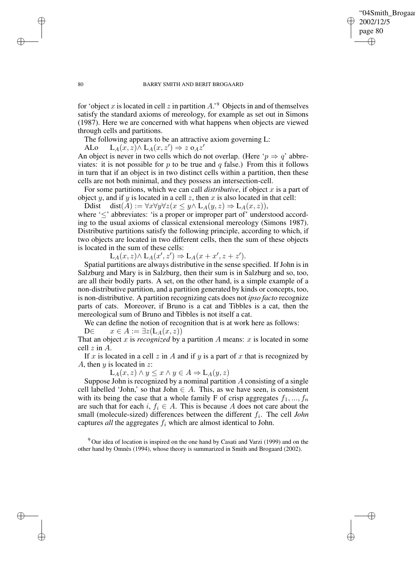✐

#### 80 BARRY SMITH AND BERIT BROGAARD

for 'object x is located in cell z in partition  $A$ .' Objects in and of themselves satisfy the standard axioms of mereology, for example as set out in Simons (1987). Here we are concerned with what happens when objects are viewed through cells and partitions.

The following appears to be an attractive axiom governing L:

ALo  $L_A(x, z) \wedge L_A(x, z') \Rightarrow z \circ_A z'$ 

An object is never in two cells which do not overlap. (Here ' $p \Rightarrow q$ ' abbreviates: it is not possible for p to be true and q false.) From this it follows in turn that if an object is in two distinct cells within a partition, then these cells are not both minimal, and they possess an intersection-cell.

For some partitions, which we can call *distributive*, if object x is a part of object y, and if y is located in a cell z, then x is also located in that cell:

Ddist dist(A) :=  $\forall x \forall y \forall z (x \leq y \land L_A(y, z) \Rightarrow L_A(x, z)),$ 

where '≤' abbreviates: 'is a proper or improper part of' understood according to the usual axioms of classical extensional mereology (Simons 1987). Distributive partitions satisfy the following principle, according to which, if two objects are located in two different cells, then the sum of these objects is located in the sum of these cells:

 $L_A(x, z) \wedge L_A(x', z') \Rightarrow L_A(x + x', z + z').$ 

Spatial partitions are always distributive in the sense specified. If John is in Salzburg and Mary is in Salzburg, then their sum is in Salzburg and so, too, are all their bodily parts. A set, on the other hand, is a simple example of a non-distributive partition, and a partition generated by kinds or concepts, too, is non-distributive. A partition recognizing cats does not *ipso facto* recognize parts of cats. Moreover, if Bruno is a cat and Tibbles is a cat, then the mereological sum of Bruno and Tibbles is not itself a cat.

We can define the notion of recognition that is at work here as follows:

D∈  $x \in A := \exists z(L_A(x,z))$ 

That an object x is *recognized* by a partition A means: x is located in some cell z in A.

If x is located in a cell z in A and if y is a part of x that is recognized by A, then  $y$  is located in  $z$ :

 $L_A(x, z) \wedge y \leq x \wedge y \in A \Rightarrow L_A(y, z)$ 

Suppose John is recognized by a nominal partition  $A$  consisting of a single cell labelled 'John,' so that John  $\in A$ . This, as we have seen, is consistent with its being the case that a whole family F of crisp aggregates  $f_1, ..., f_n$ are such that for each i,  $f_i \in A$ . This is because A does not care about the small (molecule-sized) differences between the different  $f_i$ . The cell *John* captures *all* the aggregates  $f_i$  which are almost identical to John.

 $9$  Our idea of location is inspired on the one hand by Casati and Varzi (1999) and on the other hand by Omnès (1994), whose theory is summarized in Smith and Brogaard (2002).

✐

✐

✐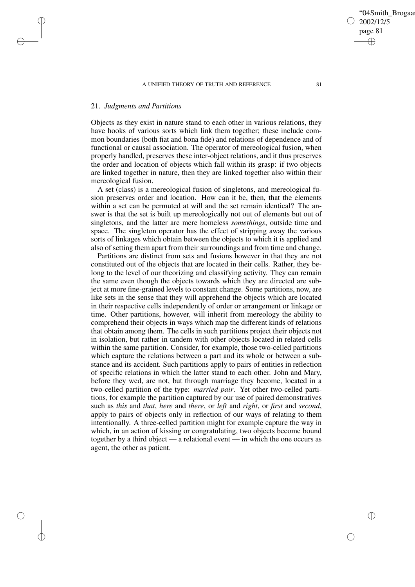## 21. *Judgments and Partitions*

✐

✐

✐

✐

Objects as they exist in nature stand to each other in various relations, they have hooks of various sorts which link them together; these include common boundaries (both fiat and bona fide) and relations of dependence and of functional or causal association. The operator of mereological fusion, when properly handled, preserves these inter-object relations, and it thus preserves the order and location of objects which fall within its grasp: if two objects are linked together in nature, then they are linked together also within their mereological fusion.

A set (class) is a mereological fusion of singletons, and mereological fusion preserves order and location. How can it be, then, that the elements within a set can be permuted at will and the set remain identical? The answer is that the set is built up mereologically not out of elements but out of singletons, and the latter are mere homeless *somethings*, outside time and space. The singleton operator has the effect of stripping away the various sorts of linkages which obtain between the objects to which it is applied and also of setting them apart from their surroundings and from time and change.

Partitions are distinct from sets and fusions however in that they are not constituted out of the objects that are located in their cells. Rather, they belong to the level of our theorizing and classifying activity. They can remain the same even though the objects towards which they are directed are subject at more fine-grained levels to constant change. Some partitions, now, are like sets in the sense that they will apprehend the objects which are located in their respective cells independently of order or arrangement or linkage or time. Other partitions, however, will inherit from mereology the ability to comprehend their objects in ways which map the different kinds of relations that obtain among them. The cells in such partitions project their objects not in isolation, but rather in tandem with other objects located in related cells within the same partition. Consider, for example, those two-celled partitions which capture the relations between a part and its whole or between a substance and its accident. Such partitions apply to pairs of entities in reflection of specific relations in which the latter stand to each other. John and Mary, before they wed, are not, but through marriage they become, located in a two-celled partition of the type: *married pair*. Yet other two-celled partitions, for example the partition captured by our use of paired demonstratives such as *this* and *that*, *here* and *there*, or *left* and *right*, or *first* and *second*, apply to pairs of objects only in reflection of our ways of relating to them intentionally. A three-celled partition might for example capture the way in which, in an action of kissing or congratulating, two objects become bound together by a third object — a relational event — in which the one occurs as agent, the other as patient.

✐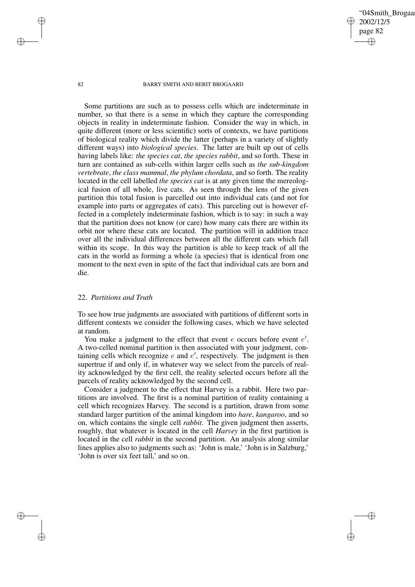✐

#### 82 BARRY SMITH AND BERIT BROGAARD

Some partitions are such as to possess cells which are indeterminate in number, so that there is a sense in which they capture the corresponding objects in reality in indeterminate fashion. Consider the way in which, in quite different (more or less scientific) sorts of contexts, we have partitions of biological reality which divide the latter (perhaps in a variety of slightly different ways) into *biological species*. The latter are built up out of cells having labels like: *the species cat*, *the species rabbit*, and so forth. These in turn are contained as sub-cells within larger cells such as *the sub-kingdom vertebrate*, *the class mammal*, *the phylum chordata*, and so forth. The reality located in the cell labelled *the species cat* is at any given time the mereological fusion of all whole, live cats. As seen through the lens of the given partition this total fusion is parcelled out into individual cats (and not for example into parts or aggregates of cats). This parceling out is however effected in a completely indeterminate fashion, which is to say: in such a way that the partition does not know (or care) how many cats there are within its orbit nor where these cats are located. The partition will in addition trace over all the individual differences between all the different cats which fall within its scope. In this way the partition is able to keep track of all the cats in the world as forming a whole (a species) that is identical from one moment to the next even in spite of the fact that individual cats are born and die.

## 22. *Partitions and Truth*

To see how true judgments are associated with partitions of different sorts in different contexts we consider the following cases, which we have selected at random.

You make a judgment to the effect that event  $e$  occurs before event  $e'$ . A two-celled nominal partition is then associated with your judgment, containing cells which recognize  $e$  and  $e'$ , respectively. The judgment is then supertrue if and only if, in whatever way we select from the parcels of reality acknowledged by the first cell, the reality selected occurs before all the parcels of reality acknowledged by the second cell.

Consider a judgment to the effect that Harvey is a rabbit. Here two partitions are involved. The first is a nominal partition of reality containing a cell which recognizes Harvey. The second is a partition, drawn from some standard larger partition of the animal kingdom into *hare*, *kangaroo*, and so on, which contains the single cell *rabbit*. The given judgment then asserts, roughly, that whatever is located in the cell *Harvey* in the first partition is located in the cell *rabbit* in the second partition. An analysis along similar lines applies also to judgments such as: 'John is male,' 'John is in Salzburg,' 'John is over six feet tall,' and so on.

✐

✐

✐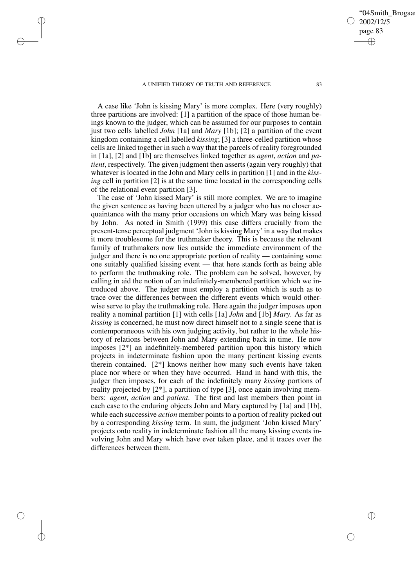✐

✐

✐

✐

A case like 'John is kissing Mary' is more complex. Here (very roughly) three partitions are involved: [1] a partition of the space of those human beings known to the judger, which can be assumed for our purposes to contain just two cells labelled *John* [1a] and *Mary* [1b]; [2] a partition of the event kingdom containing a cell labelled *kissing*; [3] a three-celled partition whose cells are linked together in such a way that the parcels of reality foregrounded in [1a], [2] and [1b] are themselves linked together as *agent*, *action* and *patient*, respectively. The given judgment then asserts (again very roughly) that whatever is located in the John and Mary cells in partition [1] and in the *kissing* cell in partition [2] is at the same time located in the corresponding cells of the relational event partition [3].

The case of 'John kissed Mary' is still more complex. We are to imagine the given sentence as having been uttered by a judger who has no closer acquaintance with the many prior occasions on which Mary was being kissed by John. As noted in Smith (1999) this case differs crucially from the present-tense perceptual judgment 'John is kissing Mary' in a way that makes it more troublesome for the truthmaker theory. This is because the relevant family of truthmakers now lies outside the immediate environment of the judger and there is no one appropriate portion of reality — containing some one suitably qualified kissing event — that here stands forth as being able to perform the truthmaking role. The problem can be solved, however, by calling in aid the notion of an indefinitely-membered partition which we introduced above. The judger must employ a partition which is such as to trace over the differences between the different events which would otherwise serve to play the truthmaking role. Here again the judger imposes upon reality a nominal partition [1] with cells [1a] *John* and [1b] *Mary*. As far as *kissing* is concerned, he must now direct himself not to a single scene that is contemporaneous with his own judging activity, but rather to the whole history of relations between John and Mary extending back in time. He now imposes  $[2^*]$  an indefinitely-membered partition upon this history which projects in indeterminate fashion upon the many pertinent kissing events therein contained. [2\*] knows neither how many such events have taken place nor where or when they have occurred. Hand in hand with this, the judger then imposes, for each of the indefinitely many *kissing* portions of reality projected by  $[2^*]$ , a partition of type  $[3]$ , once again involving members: *agent*, *action* and *patient*. The first and last members then point in each case to the enduring objects John and Mary captured by [1a] and [1b], while each successive *action* member points to a portion of reality picked out by a corresponding *kissing* term. In sum, the judgment 'John kissed Mary' projects onto reality in indeterminate fashion all the many kissing events involving John and Mary which have ever taken place, and it traces over the differences between them.

'04Smith\_Brogaa 2002/12/5 page 83 ✐ ✐

✐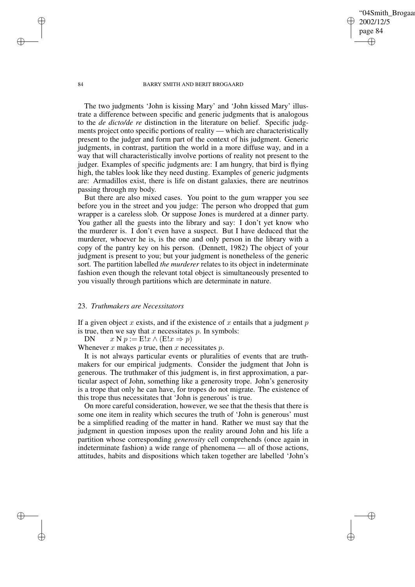✐

#### 84 BARRY SMITH AND BERIT BROGAARD

The two judgments 'John is kissing Mary' and 'John kissed Mary' illustrate a difference between specific and generic judgments that is analogous to the *de dicto/de re* distinction in the literature on belief. Specific judgments project onto specific portions of reality — which are characteristically present to the judger and form part of the context of his judgment. Generic judgments, in contrast, partition the world in a more diffuse way, and in a way that will characteristically involve portions of reality not present to the judger. Examples of specific judgments are: I am hungry, that bird is flying high, the tables look like they need dusting. Examples of generic judgments are: Armadillos exist, there is life on distant galaxies, there are neutrinos passing through my body.

But there are also mixed cases. You point to the gum wrapper you see before you in the street and you judge: The person who dropped that gum wrapper is a careless slob. Or suppose Jones is murdered at a dinner party. You gather all the guests into the library and say: I don't yet know who the murderer is. I don't even have a suspect. But I have deduced that the murderer, whoever he is, is the one and only person in the library with a copy of the pantry key on his person. (Dennett, 1982) The object of your judgment is present to you; but your judgment is nonetheless of the generic sort. The partition labelled *the murderer* relates to its object in indeterminate fashion even though the relevant total object is simultaneously presented to you visually through partitions which are determinate in nature.

## 23. *Truthmakers are Necessitators*

If a given object x exists, and if the existence of x entails that a judgment  $p$ is true, then we say that  $x$  necessitates  $p$ . In symbols:

DN  $x \in \mathbb{R} : E!x \wedge (E!x \Rightarrow p)$ 

Whenever x makes p true, then x necessitates p.

It is not always particular events or pluralities of events that are truthmakers for our empirical judgments. Consider the judgment that John is generous. The truthmaker of this judgment is, in first approximation, a particular aspect of John, something like a generosity trope. John's generosity is a trope that only he can have, for tropes do not migrate. The existence of this trope thus necessitates that 'John is generous' is true.

On more careful consideration, however, we see that the thesis that there is some one item in reality which secures the truth of 'John is generous' must be a simplified reading of the matter in hand. Rather we must say that the judgment in question imposes upon the reality around John and his life a partition whose corresponding *generosity* cell comprehends (once again in indeterminate fashion) a wide range of phenomena — all of those actions, attitudes, habits and dispositions which taken together are labelled 'John's

✐

✐

✐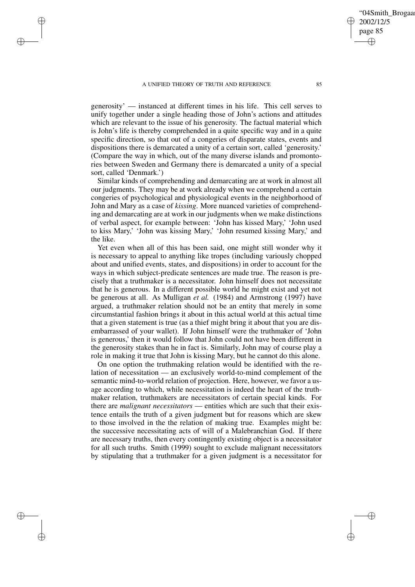✐

✐

✐

generosity' — instanced at different times in his life. This cell serves to unify together under a single heading those of John's actions and attitudes which are relevant to the issue of his generosity. The factual material which is John's life is thereby comprehended in a quite specific way and in a quite specific direction, so that out of a congeries of disparate states, events and dispositions there is demarcated a unity of a certain sort, called 'generosity.' (Compare the way in which, out of the many diverse islands and promontories between Sweden and Germany there is demarcated a unity of a special sort, called 'Denmark.')

Similar kinds of comprehending and demarcating are at work in almost all our judgments. They may be at work already when we comprehend a certain congeries of psychological and physiological events in the neighborhood of John and Mary as a case of *kissing*. More nuanced varieties of comprehending and demarcating are at work in our judgments when we make distinctions of verbal aspect, for example between: 'John has kissed Mary,' 'John used to kiss Mary,' 'John was kissing Mary,' 'John resumed kissing Mary,' and the like.

Yet even when all of this has been said, one might still wonder why it is necessary to appeal to anything like tropes (including variously chopped about and unified events, states, and dispositions) in order to account for the ways in which subject-predicate sentences are made true. The reason is precisely that a truthmaker is a necessitator. John himself does not necessitate that he is generous. In a different possible world he might exist and yet not be generous at all. As Mulligan *et al.* (1984) and Armstrong (1997) have argued, a truthmaker relation should not be an entity that merely in some circumstantial fashion brings it about in this actual world at this actual time that a given statement is true (as a thief might bring it about that you are disembarrassed of your wallet). If John himself were the truthmaker of 'John is generous,' then it would follow that John could not have been different in the generosity stakes than he in fact is. Similarly, John may of course play a role in making it true that John is kissing Mary, but he cannot do this alone.

On one option the truthmaking relation would be identified with the relation of necessitation — an exclusively world-to-mind complement of the semantic mind-to-world relation of projection. Here, however, we favor a usage according to which, while necessitation is indeed the heart of the truthmaker relation, truthmakers are necessitators of certain special kinds. For there are *malignant necessitators* — entities which are such that their existence entails the truth of a given judgment but for reasons which are skew to those involved in the the relation of making true. Examples might be: the successive necessitating acts of will of a Malebranchian God. If there are necessary truths, then every contingently existing object is a necessitator for all such truths. Smith (1999) sought to exclude malignant necessitators by stipulating that a truthmaker for a given judgment is a necessitator for '04Smith\_Brogaa

2002/12/5 page 85

✐

✐

✐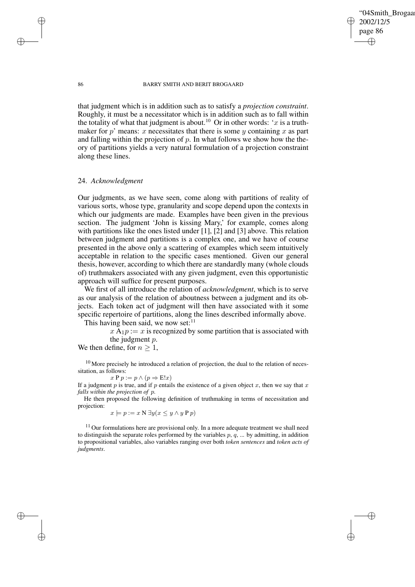'04Smith\_Brogaa 2002/12/5 page 86 ✐ ✐

✐

✐

#### 86 BARRY SMITH AND BERIT BROGAARD

that judgment which is in addition such as to satisfy a *projection constraint*. Roughly, it must be a necessitator which is in addition such as to fall within the totality of what that judgment is about.<sup>10</sup> Or in other words: 'x is a truthmaker for p' means: x necessitates that there is some y containing x as part and falling within the projection of  $p$ . In what follows we show how the theory of partitions yields a very natural formulation of a projection constraint along these lines.

## 24. *Acknowledgment*

Our judgments, as we have seen, come along with partitions of reality of various sorts, whose type, granularity and scope depend upon the contexts in which our judgments are made. Examples have been given in the previous section. The judgment 'John is kissing Mary,' for example, comes along with partitions like the ones listed under [1], [2] and [3] above. This relation between judgment and partitions is a complex one, and we have of course presented in the above only a scattering of examples which seem intuitively acceptable in relation to the specific cases mentioned. Given our general thesis, however, according to which there are standardly many (whole clouds of) truthmakers associated with any given judgment, even this opportunistic approach will suffice for present purposes.

We first of all introduce the relation of *acknowledgment*, which is to serve as our analysis of the relation of aboutness between a judgment and its objects. Each token act of judgment will then have associated with it some specific repertoire of partitions, along the lines described informally above. This having been said, we now set: $11$ 

 $x \mathbf{A}_1 p := x$  is recognized by some partition that is associated with the judgment p.

We then define, for  $n \geq 1$ ,

 $10$  More precisely he introduced a relation of projection, the dual to the relation of necessitation, as follows:

 $x P p := p \wedge (p \Rightarrow E!x)$ 

If a judgment  $p$  is true, and if  $p$  entails the existence of a given object  $x$ , then we say that  $x$ *falls within the projection of* p.

He then proposed the following definition of truthmaking in terms of necessitation and projection:

 $x \models p := x \text{ N } \exists y (x \leq y \land y \text{ P } p)$ 

 $11$  Our formulations here are provisional only. In a more adequate treatment we shall need to distinguish the separate roles performed by the variables  $p, q, ...$  by admitting, in addition to propositional variables, also variables ranging over both *token sentences* and *token acts of judgments*.

✐

✐

✐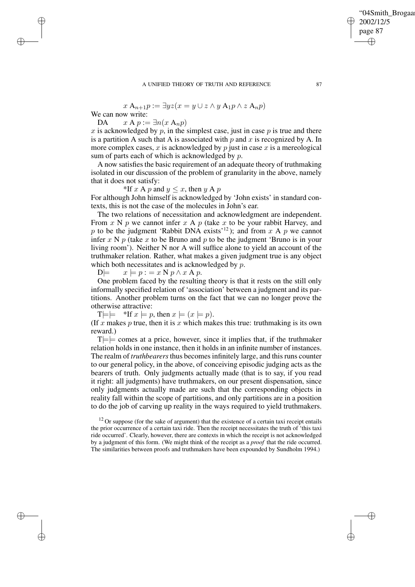$$
x \mathbf{A}_{n+1} p := \exists y z (x = y \cup z \land y \mathbf{A}_1 p \land z \mathbf{A}_n p)
$$

We can now write:

✐

✐

✐

✐

DA  $x A p := \exists n (x A_n p)$ 

x is acknowledged by p, in the simplest case, just in case  $p$  is true and there is a partition A such that A is associated with  $p$  and  $x$  is recognized by A. In more complex cases,  $x$  is acknowledged by  $p$  just in case  $x$  is a mereological sum of parts each of which is acknowledged by  $p$ .

A now satisfies the basic requirement of an adequate theory of truthmaking isolated in our discussion of the problem of granularity in the above, namely that it does not satisfy:

\*If x A p and  $y \leq x$ , then y A p For although John himself is acknowledged by 'John exists' in standard contexts, this is not the case of the molecules in John's ear.

The two relations of necessitation and acknowledgment are independent. From  $x \in Y$  p we cannot infer  $x \in Y$  (take  $x$  to be your rabbit Harvey, and p to be the judgment 'Rabbit DNA exists'<sup>12</sup>); and from x A p we cannot infer x N  $p$  (take x to be Bruno and  $p$  to be the judgment 'Bruno is in your living room'). Neither N nor A will suffice alone to yield an account of the truthmaker relation. Rather, what makes a given judgment true is any object which both necessitates and is acknowledged by p.<br>  $D \models x \models p := x \land p \land x \land p$ .

 $x \models p := x \text{ N } p \land x \text{ A } p.$ 

One problem faced by the resulting theory is that it rests on the still only informally specified relation of 'association' between a judgment and its partitions. Another problem turns on the fact that we can no longer prove the otherwise attractive:

 $T=\models$  \*If  $x \models p$ , then  $x \models (x \models p)$ .

(If x makes p true, then it is x which makes this true: truthmaking is its own reward.)

 $T = \equiv$  comes at a price, however, since it implies that, if the truthmaker relation holds in one instance, then it holds in an infinite number of instances. The realm of *truthbearers* thus becomes infinitely large, and this runs counter to our general policy, in the above, of conceiving episodic judging acts as the bearers of truth. Only judgments actually made (that is to say, if you read it right: all judgments) have truthmakers, on our present dispensation, since only judgments actually made are such that the corresponding objects in reality fall within the scope of partitions, and only partitions are in a position to do the job of carving up reality in the ways required to yield truthmakers.

04Smith\_Brogaar

2002/12/5 page 87

✐

✐

✐

 $12$  Or suppose (for the sake of argument) that the existence of a certain taxi receipt entails the prior occurrence of a certain taxi ride. Then the receipt necessitates the truth of 'this taxi ride occurred'. Clearly, however, there are contexts in which the receipt is not acknowledged by a judgment of this form. (We might think of the receipt as a *proof* that the ride occurred. The similarities between proofs and truthmakers have been expounded by Sundholm 1994.)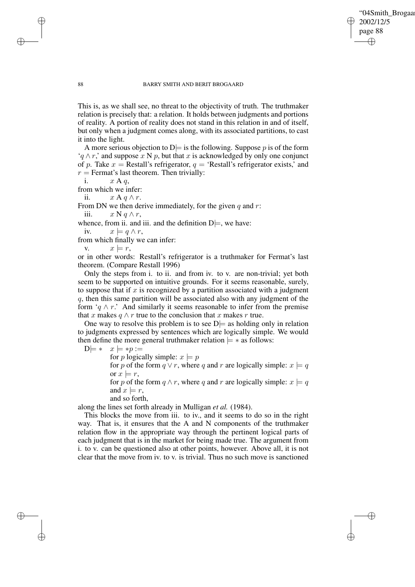✐

#### 88 BARRY SMITH AND BERIT BROGAARD

This is, as we shall see, no threat to the objectivity of truth. The truthmaker relation is precisely that: a relation. It holds between judgments and portions of reality. A portion of reality does not stand in this relation in and of itself, but only when a judgment comes along, with its associated partitions, to cast it into the light.

A more serious objection to  $D$  = is the following. Suppose p is of the form  $'a \wedge r$ ,' and suppose x N p, but that x is acknowledged by only one conjunct of p. Take  $x =$  Restall's refrigerator,  $q =$  'Restall's refrigerator exists,' and  $r =$  Fermat's last theorem. Then trivially:

i. 
$$
x \land q
$$
,

✐

✐

✐

✐

from which we infer:

ii.  $x \mathbf{A} q \wedge r$ .

From DN we then derive immediately, for the given  $q$  and  $r$ : iii.  $x \mathbf{N} q \wedge r$ ,

whence, from ii. and iii. and the definition  $D =$ , we have:

iv.  $x \models q \land r$ ,

from which finally we can infer:

v.  $x \models r$ ,

or in other words: Restall's refrigerator is a truthmaker for Fermat's last theorem. (Compare Restall 1996)

Only the steps from i. to ii. and from iv. to v. are non-trivial; yet both seem to be supported on intuitive grounds. For it seems reasonable, surely, to suppose that if  $x$  is recognized by a partition associated with a judgment q, then this same partition will be associated also with any judgment of the form ' $q \wedge r$ .' And similarly it seems reasonable to infer from the premise that x makes  $q \wedge r$  true to the conclusion that x makes r true.

One way to resolve this problem is to see  $D$  = as holding only in relation to judgments expressed by sentences which are logically simple. We would then define the more general truthmaker relation  $\models$  \* as follows:

 $D \models * \quad x \models *p :=$ 

for p logically simple:  $x \models p$ 

for p of the form  $q \vee r$ , where q and r are logically simple:  $x \models q$ or  $x \models r$ .

for p of the form  $q \wedge r$ , where q and r are logically simple:  $x \models q$ and  $x \models r$ ,

and so forth,

along the lines set forth already in Mulligan *et al.* (1984).

This blocks the move from iii. to iv., and it seems to do so in the right way. That is, it ensures that the A and N components of the truthmaker relation flow in the appropriate way through the pertinent logical parts of each judgment that is in the market for being made true. The argument from i. to v. can be questioned also at other points, however. Above all, it is not clear that the move from iv. to v. is trivial. Thus no such move is sanctioned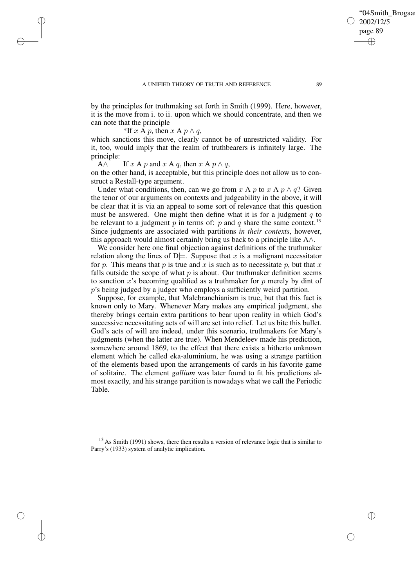✐

by the principles for truthmaking set forth in Smith (1999). Here, however, it is the move from i. to ii. upon which we should concentrate, and then we can note that the principle

\*If x A p, then  $x \land p \land q$ ,

✐

✐

✐

✐

which sanctions this move, clearly cannot be of unrestricted validity. For it, too, would imply that the realm of truthbearers is infinitely large. The principle:

A $\wedge$  If x A p and x A q, then x A p  $\wedge$  q,

on the other hand, is acceptable, but this principle does not allow us to construct a Restall-type argument.

Under what conditions, then, can we go from x A p to x A  $p \wedge q$ ? Given the tenor of our arguments on contexts and judgeability in the above, it will be clear that it is via an appeal to some sort of relevance that this question must be answered. One might then define what it is for a judgment  $q$  to be relevant to a judgment p in terms of: p and q share the same context.<sup>13</sup> Since judgments are associated with partitions *in their contexts*, however, this approach would almost certainly bring us back to a principle like A∧.

We consider here one final objection against definitions of the truthmaker relation along the lines of  $D \models$ . Suppose that x is a malignant necessitator for p. This means that p is true and x is such as to necessitate p, but that x falls outside the scope of what  $p$  is about. Our truthmaker definition seems to sanction x's becoming qualified as a truthmaker for  $p$  merely by dint of p's being judged by a judger who employs a sufficiently weird partition.

Suppose, for example, that Malebranchianism is true, but that this fact is known only to Mary. Whenever Mary makes any empirical judgment, she thereby brings certain extra partitions to bear upon reality in which God's successive necessitating acts of will are set into relief. Let us bite this bullet. God's acts of will are indeed, under this scenario, truthmakers for Mary's judgments (when the latter are true). When Mendeleev made his prediction, somewhere around 1869, to the effect that there exists a hitherto unknown element which he called eka-aluminium, he was using a strange partition of the elements based upon the arrangements of cards in his favorite game of solitaire. The element *gallium* was later found to fit his predictions almost exactly, and his strange partition is nowadays what we call the Periodic Table.

<sup>13</sup> As Smith (1991) shows, there then results a version of relevance logic that is similar to Parry's (1933) system of analytic implication.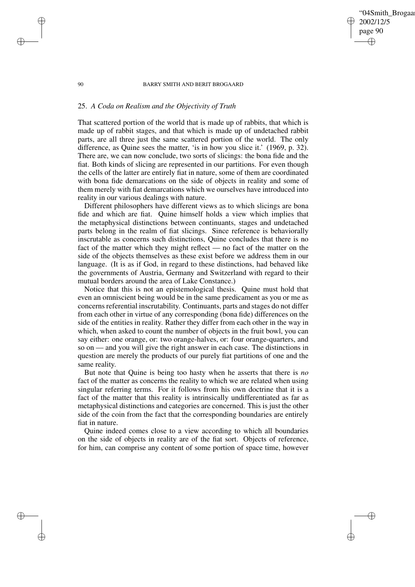## '04Smith\_Brogaar 2002/12/5 page 90 ✐ ✐

✐

✐

#### 90 BARRY SMITH AND BERIT BROGAARD

# 25. *A Coda on Realism and the Objectivity of Truth*

✐

✐

✐

✐

That scattered portion of the world that is made up of rabbits, that which is made up of rabbit stages, and that which is made up of undetached rabbit parts, are all three just the same scattered portion of the world. The only difference, as Quine sees the matter, 'is in how you slice it.' (1969, p. 32). There are, we can now conclude, two sorts of slicings: the bona fide and the fiat. Both kinds of slicing are represented in our partitions. For even though the cells of the latter are entirely fiat in nature, some of them are coordinated with bona fide demarcations on the side of objects in reality and some of them merely with fiat demarcations which we ourselves have introduced into reality in our various dealings with nature.

Different philosophers have different views as to which slicings are bona fide and which are fiat. Quine himself holds a view which implies that the metaphysical distinctions between continuants, stages and undetached parts belong in the realm of fiat slicings. Since reference is behaviorally inscrutable as concerns such distinctions, Quine concludes that there is no fact of the matter which they might reflect — no fact of the matter on the side of the objects themselves as these exist before we address them in our language. (It is as if God, in regard to these distinctions, had behaved like the governments of Austria, Germany and Switzerland with regard to their mutual borders around the area of Lake Constance.)

Notice that this is not an epistemological thesis. Quine must hold that even an omniscient being would be in the same predicament as you or me as concerns referential inscrutability. Continuants, parts and stages do not differ from each other in virtue of any corresponding (bona fide) differences on the side of the entities in reality. Rather they differ from each other in the way in which, when asked to count the number of objects in the fruit bowl, you can say either: one orange, or: two orange-halves, or: four orange-quarters, and so on — and you will give the right answer in each case. The distinctions in question are merely the products of our purely fiat partitions of one and the same reality.

But note that Quine is being too hasty when he asserts that there is *no* fact of the matter as concerns the reality to which we are related when using singular referring terms. For it follows from his own doctrine that it is a fact of the matter that this reality is intrinsically undifferentiated as far as metaphysical distinctions and categories are concerned. This is just the other side of the coin from the fact that the corresponding boundaries are entirely fiat in nature.

Quine indeed comes close to a view according to which all boundaries on the side of objects in reality are of the fiat sort. Objects of reference, for him, can comprise any content of some portion of space time, however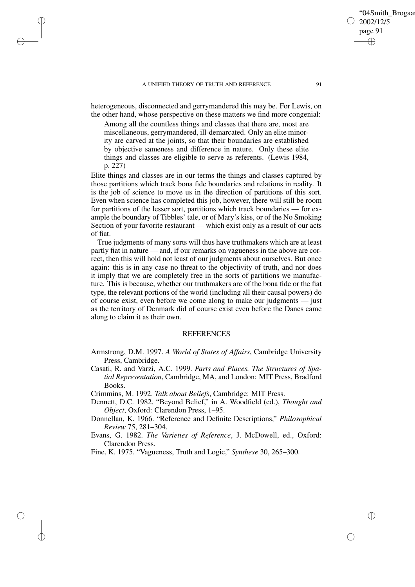✐

✐

✐

heterogeneous, disconnected and gerrymandered this may be. For Lewis, on the other hand, whose perspective on these matters we find more congenial:

Among all the countless things and classes that there are, most are miscellaneous, gerrymandered, ill-demarcated. Only an elite minority are carved at the joints, so that their boundaries are established by objective sameness and difference in nature. Only these elite things and classes are eligible to serve as referents. (Lewis 1984, p. 227)

Elite things and classes are in our terms the things and classes captured by those partitions which track bona fide boundaries and relations in reality. It is the job of science to move us in the direction of partitions of this sort. Even when science has completed this job, however, there will still be room for partitions of the lesser sort, partitions which track boundaries — for example the boundary of Tibbles' tale, or of Mary's kiss, or of the No Smoking Section of your favorite restaurant — which exist only as a result of our acts of fiat.

True judgments of many sorts will thus have truthmakers which are at least partly fiat in nature — and, if our remarks on vagueness in the above are correct, then this will hold not least of our judgments about ourselves. But once again: this is in any case no threat to the objectivity of truth, and nor does it imply that we are completely free in the sorts of partitions we manufacture. This is because, whether our truthmakers are of the bona fide or the fiat type, the relevant portions of the world (including all their causal powers) do of course exist, even before we come along to make our judgments — just as the territory of Denmark did of course exist even before the Danes came along to claim it as their own.

## **REFERENCES**

- Armstrong, D.M. 1997. *A World of States of Affairs*, Cambridge University Press, Cambridge.
- Casati, R. and Varzi, A.C. 1999. *Parts and Places. The Structures of Spatial Representation*, Cambridge, MA, and London: MIT Press, Bradford Books.

Crimmins, M. 1992. *Talk about Beliefs*, Cambridge: MIT Press.

- Dennett, D.C. 1982. "Beyond Belief," in A. Woodfield (ed.), *Thought and Object*, Oxford: Clarendon Press, 1–95.
- Donnellan, K. 1966. "Reference and Definite Descriptions," *Philosophical Review* 75, 281–304.
- Evans, G. 1982. *The Varieties of Reference*, J. McDowell, ed., Oxford: Clarendon Press.
- Fine, K. 1975. "Vagueness, Truth and Logic," *Synthese* 30, 265–300.

'04Smith\_Brogaa

2002/12/5 page 91

✐

✐

✐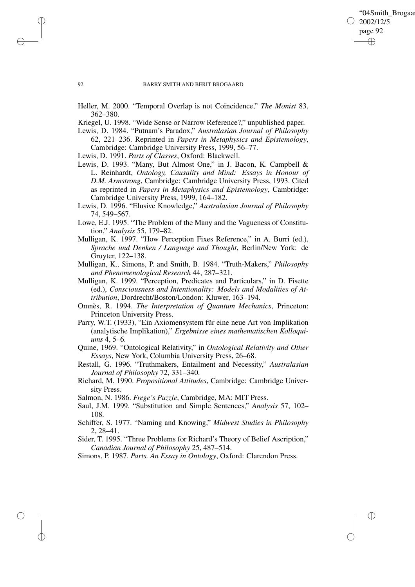✐

#### 92 BARRY SMITH AND BERIT BROGAARD

- Heller, M. 2000. "Temporal Overlap is not Coincidence," *The Monist* 83, 362–380.
- Kriegel, U. 1998. "Wide Sense or Narrow Reference?," unpublished paper.
- Lewis, D. 1984. "Putnam's Paradox," *Australasian Journal of Philosophy* 62, 221–236. Reprinted in *Papers in Metaphysics and Epistemology*, Cambridge: Cambridge University Press, 1999, 56–77.

Lewis, D. 1991. *Parts of Classes*, Oxford: Blackwell.

- Lewis, D. 1993. "Many, But Almost One," in J. Bacon, K. Campbell & L. Reinhardt, *Ontology, Causality and Mind: Essays in Honour of D.M. Armstrong*, Cambridge: Cambridge University Press, 1993. Cited as reprinted in *Papers in Metaphysics and Epistemology*, Cambridge: Cambridge University Press, 1999, 164–182.
- Lewis, D. 1996. "Elusive Knowledge," *Australasian Journal of Philosophy* 74, 549–567.
- Lowe, E.J. 1995. "The Problem of the Many and the Vagueness of Constitution," *Analysis* 55, 179–82.
- Mulligan, K. 1997. "How Perception Fixes Reference," in A. Burri (ed.), *Sprache und Denken / Language and Thought*, Berlin/New York: de Gruyter, 122–138.
- Mulligan, K., Simons, P. and Smith, B. 1984. "Truth-Makers," *Philosophy and Phenomenological Research* 44, 287–321.
- Mulligan, K. 1999. "Perception, Predicates and Particulars," in D. Fisette (ed.), *Consciousness and Intentionality: Models and Modalities of Attribution*, Dordrecht/Boston/London: Kluwer, 163–194.
- Omnès, R. 1994. *The Interpretation of Quantum Mechanics*, Princeton: Princeton University Press.
- Parry, W.T. (1933), "Ein Axiomensystem für eine neue Art von Implikation (analytische Implikation)," *Ergebnisse eines mathematischen Kolloquiums* 4, 5–6.
- Quine, 1969. "Ontological Relativity," in *Ontological Relativity and Other Essays*, New York, Columbia University Press, 26–68.
- Restall, G. 1996. "Truthmakers, Entailment and Necessity," *Australasian Journal of Philosophy* 72, 331–340.
- Richard, M. 1990. *Propositional Attitudes*, Cambridge: Cambridge University Press.

Salmon, N. 1986. *Frege's Puzzle*, Cambridge, MA: MIT Press.

- Saul, J.M. 1999. "Substitution and Simple Sentences," *Analysis* 57, 102– 108.
- Schiffer, S. 1977. "Naming and Knowing," *Midwest Studies in Philosophy* 2, 28–41.

Sider, T. 1995. "Three Problems for Richard's Theory of Belief Ascription," *Canadian Journal of Philosophy* 25, 487–514.

Simons, P. 1987. *Parts. An Essay in Ontology*, Oxford: Clarendon Press.

✐

✐

✐